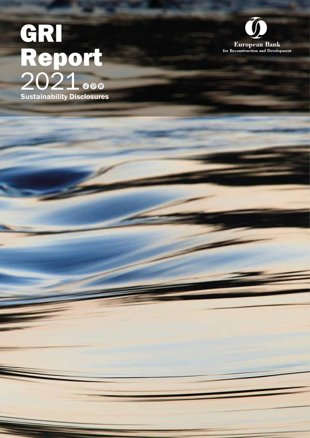# Sustainability Disclosures GRI Report 2021

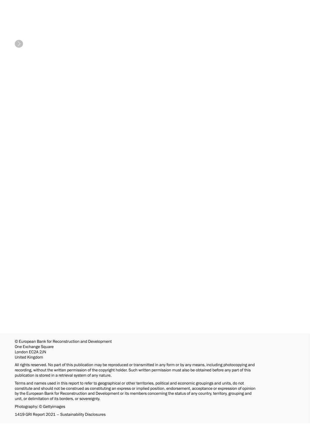© European Bank for Reconstruction and Development One Exchange Square London EC2A 2JN United Kingdom

All rights reserved. No part of this publication may be reproduced or transmitted in any form or by any means, including photocopying and recording, without the written permission of the copyright holder. Such written permission must also be obtained before any part of this publication is stored in a retrieval system of any nature.

Terms and names used in this report to refer to geographical or other territories, political and economic groupings and units, do not constitute and should not be construed as constituting an express or implied position, endorsement, acceptance or expression of opinion by the European Bank for Reconstruction and Development or its members concerning the status of any country, territory, grouping and unit, or delimitation of its borders, or sovereignty.

Photography: © Gettyimages

 $\sum$ 

1419 GRI Report 2021 – Sustainability Disclosures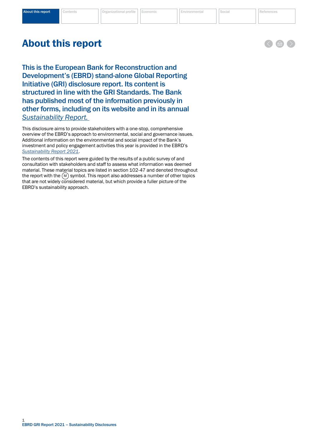# <span id="page-2-0"></span>About this report

This disclosure aims to provide stakeholders with a one-stop, comprehensive overview of the EBRD's approach to environmental, social and governance issues. Additional information on the environmental and social impact of the Bank's investment and policy engagement activities this year is provided in the EBRD's *[Sustainability Report 2021](https://2021.sr-ebrd.com/)*.

The contents of this report were guided by the results of a public survey of and consultation with stakeholders and staff to assess what information was deemed material. These material topics are listed in section 102-47 and denoted throughout the report with the  $(M)$  symbol. This report also addresses a number of other topics that are not widely considered material, but which provide a fuller picture of the EBRD's sustainability approach.

This is the European Bank for Reconstruction and Development's (EBRD) stand-alone Global Reporting Initiative (GRI) disclosure report. Its content is structured in line with the GRI Standards. The Bank has published most of the information previously in other forms, including on its website and in its annual *[Sustainability Report.](https://2021.sr-ebrd.com/)* 

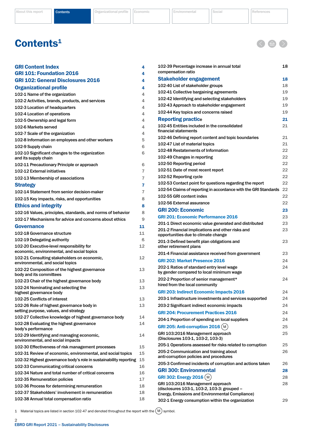<span id="page-3-0"></span>[About this report](#page-2-0) **Contents [Organizational profile](#page-5-0) [Economic](#page-24-0)** [Environmental](#page-29-0) [Social](#page-34-0) [References](#page-48-0)

< 金

# Contents<sup>1</sup>

| <b>GRI Content Index</b>                                                           | 4        |
|------------------------------------------------------------------------------------|----------|
| <b>GRI 101: Foundation 2016</b>                                                    | 4        |
| <b>GRI 102: General Disclosures 2016</b>                                           | 4        |
| <b>Organizational profile</b>                                                      | 4        |
| 102-1 Name of the organization                                                     | 4        |
| 102-2 Activities, brands, products, and services                                   | 4        |
| 102-3 Location of headquarters                                                     | 4        |
| 102-4 Location of operations                                                       | 4        |
| 102-5 Ownership and legal form                                                     | 4        |
| 102-6 Markets served                                                               | 4        |
| 102-7 Scale of the organization                                                    | 4        |
| 102-8 Information on employees and other workers                                   | 5        |
| 102-9 Supply chain                                                                 | 6        |
| 102-10 Significant changes to the organization<br>and its supply chain             | 6        |
| 102-11 Precautionary Principle or approach                                         | 6        |
| 102-12 External initiatives                                                        | 7        |
| 102-13 Membership of associations                                                  | 7        |
| <b>Strategy</b>                                                                    | 7        |
| 102-14 Statement from senior decision-maker                                        | 7        |
| 102-15 Key impacts, risks, and opportunities                                       | 8        |
| <b>Ethics and integrity</b>                                                        | 8        |
| 102-16 Values, principles, standards, and norms of behavior                        | 8        |
| 102-17 Mechanisms for advice and concerns about ethics                             | 9        |
| <b>Governance</b>                                                                  |          |
| 102-18 Governance structure                                                        | 11<br>11 |
|                                                                                    | ß        |
| 102-19 Delegating authority<br>102-20 Executive-level responsibility for           | 12       |
| economic, environmental, and social topics                                         |          |
| 102-21 Consulting stakeholders on economic,                                        | 12       |
| environmental, and social topics                                                   |          |
| 102-22 Composition of the highest governance<br>body and its committees            | 13       |
| 102-23 Chair of the highest governance body                                        | 13       |
| 102-24 Nominating and selecting the<br>highest governance body                     | 13       |
| 102-25 Conflicts of interest                                                       | 13       |
| 102-26 Role of highest governance body in<br>setting purpose, values, and strategy | 13       |
| 102-27 Collective knowledge of highest governance body                             | 14       |
| 102-28 Evaluating the highest governance<br>body's performance                     | 14       |
| 102-29 Identifying and managing economic,<br>environmental, and social impacts     | 14       |
| 102-30 Effectiveness of risk management processes                                  | 15       |
| 102-31 Review of economic, environmental, and social topics                        | 15       |
| 102-32 Highest governance body's role in sustainability reporting                  | 15       |
| 102-33 Communicating critical concerns                                             | 16       |
| 102-34 Nature and total number of critical concerns                                | 16       |
| 102-35 Remuneration policies                                                       | 17       |
| 102-36 Process for determining remuneration                                        | 18       |
| 102-37 Stakeholders' involvement in remuneration                                   | 18       |
| 102-38 Annual total compensation ratio                                             | 18       |

| 102-39 Percentage increase in annual total<br>compensation ratio                        | 18 |
|-----------------------------------------------------------------------------------------|----|
| Stakeholder engagement                                                                  | 18 |
| 102-40 List of stakeholder groups                                                       | 18 |
| 102-41 Collective bargaining agreements                                                 | 19 |
| 102-42 Identifying and selecting stakeholders                                           | 19 |
| 102-43 Approach to stakeholder engagement                                               | 19 |
| 102-44 Key topics and concerns raised                                                   | 19 |
| <b>Reporting practice</b>                                                               | 21 |
| 102-45 Entities included in the consolidated<br>financial statements                    | 21 |
| 102-46 Defining report content and topic boundaries                                     | 21 |
| 102-47 List of material topics                                                          | 21 |
| 102-48 Restatements of Information                                                      | 22 |
| 102-49 Changes in reporting                                                             | 22 |
| 102-50 Reporting period                                                                 | 22 |
| 102-51 Date of most recent report                                                       | 22 |
| 102-52 Reporting cycle                                                                  | 22 |
| 102-53 Contact point for questions regarding the report                                 | 22 |
| 102-54 Claims of reporting in accordance with the GRI Standards                         | 22 |
| 102-55 GRI content index                                                                | 22 |
| 102-56 External assurance                                                               | 22 |
| <b>GRI 200: Economic</b>                                                                | 23 |
| <b>GRI 201: Economic Performance 2016</b>                                               | 23 |
| 201-1 Direct economic value generated and distributed                                   | 23 |
| 201-2 Financial implications and other risks and<br>opportunities due to climate change | 23 |
| 201-3 Defined benefit plan obligations and<br>other retirement plans                    | 23 |
| 201-4 Financial assistance received from government                                     | 23 |
| GRI 202: Market Presence 2016                                                           | 24 |
| 202-1 Ratios of standard entry level wage<br>by gender compared to local minimum wage   | 24 |
| 202-2 Proportion of senior management*<br>hired from the local community                | 24 |
| <b>GRI 203: Indirect Economic Impacts 2016</b>                                          | 24 |
| 203-1 Infrastructure investments and services supported                                 | 24 |
| 203-2 Significant indirect economic impacts                                             | 24 |
| <b>GRI 204: Procurement Practices 2016</b>                                              | 24 |
| 204-1 Proportion of spending on local suppliers                                         | 24 |
| GRI 205: Anti-corruption $2016(M)$                                                      | 25 |
| GRI 103:2016 Management approach<br>(Disclosures 103-1, 103-2, 103-3)                   | 25 |
| 205-1 Operations assessed for risks related to corruption                               | 25 |
| 205-2 Communication and training about<br>anti-corruption policies and procedures       | 26 |
| 205-3 Confirmed incidents of corruption and actions taken                               | 26 |
| <b>GRI 300: Environmental</b>                                                           | 28 |
| <b>GRI 302: Energy 2016 (M)</b>                                                         | 28 |
| GRI 103:2016 Management approach                                                        | 28 |
| (disclosures 103-1, 103-2, 103-3: grouped -                                             |    |
| Energy, Emissions and Environmental Compliance)                                         |    |
| 302-1 Energy consumption within the organization                                        | 29 |

1 Material topics are listed in section 102-47 and denoted throughout the report with the  $(\overline{M})$  symbol.

2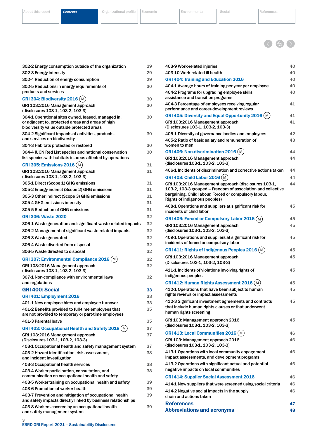[About this report](#page-2-0) **Contents Contents [Organizational profile](#page-5-0)** [Economic](#page-24-0) **[Environmental](#page-29-0)** [Social](#page-34-0) [References](#page-48-0)





| 302-2 Energy consumption outside of the organization                                                                                                  | 29 |
|-------------------------------------------------------------------------------------------------------------------------------------------------------|----|
| 302-3 Energy intensity                                                                                                                                | 29 |
| 302-4 Reduction of energy consumption                                                                                                                 | 29 |
| 302-5 Reductions in energy requirements of                                                                                                            | 30 |
| products and services                                                                                                                                 |    |
| GRI 304: Biodiversity 2016 (M                                                                                                                         | 30 |
| GRI 103:2016 Management approach<br>(disclosures 103-1, 103-2, 103-3)                                                                                 | 30 |
| 304-1 Operational sites owned, leased, managed in,<br>or adjacent to, protected areas and areas of high<br>biodiversity value outside protected areas | 30 |
| 304-2 Significant impacts of activities, products,<br>and services on biodiversity                                                                    | 30 |
| 304-3 Habitats protected or restored                                                                                                                  | 30 |
| 304-4 IUCN Red List species and national conservation<br>list species with habitats in areas affected by operations                                   | 30 |
| <b>GRI 305: Emissions 2016 (M)</b>                                                                                                                    | 31 |
| GRI 103:2016 Management approach<br>(disclosures 103-1, 103-2, 103-3)                                                                                 | 31 |
| 305-1 Direct (Scope 1) GHG emissions                                                                                                                  | 31 |
| 305-2 Energy indirect (Scope 2) GHG emissions                                                                                                         | 31 |
| 305-3 Other indirect (Scope 3) GHG emissions                                                                                                          | 31 |
| 305-4 GHG emissions intensity                                                                                                                         | 31 |
| 305-5 Reduction of GHG emissions                                                                                                                      | 31 |
| <b>GRI 306: Waste 2020</b>                                                                                                                            | 32 |
| 306-1 Waste generation and significant waste-related impacts                                                                                          | 32 |
| 306-2 Management of significant waste-related impacts                                                                                                 | 32 |
| 306-3 Waste generated                                                                                                                                 | 32 |
| 306-4 Waste diverted from disposal                                                                                                                    | 32 |
| 306-5 Waste directed to disposal                                                                                                                      | 32 |
| <b>GRI 307: Environmental Compliance 2016 (M</b>                                                                                                      | 32 |
| GRI 103:2016 Management approach<br>(disclosures 103-1, 103-2, 103-3)                                                                                 | 32 |
| 307-1 Non-compliance with environmental laws<br>and regulations                                                                                       | 32 |
| <b>GRI 400: Social</b>                                                                                                                                | 33 |
| GRI 401: Employment 2016                                                                                                                              | 33 |
| 401-1 New employee hires and employee turnover                                                                                                        | 33 |
| 401-2 Benefits provided to full-time employees that<br>are not provided to temporary or part-time employees                                           | 35 |
| 401-3 Parental leave                                                                                                                                  | 35 |
| GRI 403: Occupational Health and Safety 2018 (M                                                                                                       | 37 |
| GRI 103:2016 Management approach<br>(Disclosures 103-1, 103-2, 103-3)                                                                                 | 37 |
| 403-1 Occupational health and safety management system                                                                                                | 37 |
| 403-2 Hazard identification, risk assessment,<br>and incident investigation                                                                           | 38 |
| 403-3 Occupational health services                                                                                                                    | 38 |
| 403-4 Worker participation, consultation, and<br>communication on occupational health and safety                                                      | 38 |
| 403-5 Worker training on occupational health and safety                                                                                               | 39 |
| 403-6 Promotion of worker health                                                                                                                      | 39 |
| 403-7 Prevention and mitigation of occupational health<br>and safety impacts directly linked by business relationships                                | 39 |
| 403-8 Workers covered by an occupational health<br>and safety management system                                                                       | 39 |
| З                                                                                                                                                     |    |

| 403-9 Work-related injuries                                                                                                                                                                                     | 40 |  |  |  |  |
|-----------------------------------------------------------------------------------------------------------------------------------------------------------------------------------------------------------------|----|--|--|--|--|
| 403-10 Work-related ill health                                                                                                                                                                                  | 40 |  |  |  |  |
| <b>GRI 404: Training and Education 2016</b>                                                                                                                                                                     | 40 |  |  |  |  |
| 404-1 Average hours of training per year per employee                                                                                                                                                           | 40 |  |  |  |  |
| 404-2 Programs for upgrading employee skills<br>assistance and transition programs                                                                                                                              | 40 |  |  |  |  |
| 404-3 Percentage of employees receiving regular<br>performance and career-development reviews                                                                                                                   | 41 |  |  |  |  |
| <b>GRI 405: Diversity and Equal Opportunity 2016 (M)</b>                                                                                                                                                        | 41 |  |  |  |  |
| GRI 103:2016 Management approach<br>(Disclosures 103-1, 103-2, 103-3)                                                                                                                                           | 41 |  |  |  |  |
| 405-1 Diversity of governance bodies and employees                                                                                                                                                              | 42 |  |  |  |  |
| 405-2 Ratio of basic salary and remuneration of<br>women to men                                                                                                                                                 | 43 |  |  |  |  |
| GRI 406: Non-discrimination 2016 (M                                                                                                                                                                             | 44 |  |  |  |  |
| GRI 103:2016 Management approach<br>(disclosures 103-1, 103-2, 103-3)                                                                                                                                           | 44 |  |  |  |  |
| 406-1 Incidents of discrimination and corrective actions taken                                                                                                                                                  | 44 |  |  |  |  |
| <b>GRI 408: Child Labor 2016 (M)</b>                                                                                                                                                                            | 44 |  |  |  |  |
| GRI 103:2016 Management approach (disclosures 103-1,<br>103-2, 103-3 grouped – Freedom of association and collective<br>bargaining, Child labour, Forced or compulsory labour,<br>Rights of indigenous peoples) | 44 |  |  |  |  |
| 408-1 Operations and suppliers at significant risk for<br>incidents of child labor                                                                                                                              | 45 |  |  |  |  |
| <b>GRI 409: Forced or Compulsory Labor 2016 (M)</b>                                                                                                                                                             | 45 |  |  |  |  |
| GRI 103:2016 Management approach<br>(disclosures 103-1, 103-2, 103-3)                                                                                                                                           | 45 |  |  |  |  |
| 409-1 Operations and suppliers at significant risk for<br>45<br>incidents of forced or compulsory labor                                                                                                         |    |  |  |  |  |
| <b>GRI 411: Rights of Indigenous Peoples 2016 (M)</b>                                                                                                                                                           | 45 |  |  |  |  |
| GRI 103:2016 Management approach<br>(Disclosures 103-1, 103-2, 103-3)                                                                                                                                           | 45 |  |  |  |  |
| 411-1 Incidents of violations involving rights of<br>indigenous peoples                                                                                                                                         | 45 |  |  |  |  |
| <b>GRI 412: Human Rights Assessment 2016 (M)</b>                                                                                                                                                                | 45 |  |  |  |  |
| 412-1 Operations that have been subject to human<br>rights reviews or impact assessments                                                                                                                        | 45 |  |  |  |  |
| 412-3 Significant investment agreements and contracts<br>that include human rights clauses or that underwent<br>human rights screening                                                                          | 45 |  |  |  |  |
| GRI 103: Management approach 2016<br>(disclosures 103-1, 103-2, 103-3)                                                                                                                                          | 45 |  |  |  |  |
| <b>GRI 413: Local Communities 2016 (M)</b>                                                                                                                                                                      | 46 |  |  |  |  |
| GRI 103: Management approach 2016<br>(disclosures 103-1, 103-2, 103-3)                                                                                                                                          | 46 |  |  |  |  |
| 413-1 Operations with local community engagement,<br>impact assessments, and development programs                                                                                                               | 46 |  |  |  |  |
| 413-2 Operations with significant actual and potential<br>negative impacts on local communities                                                                                                                 | 46 |  |  |  |  |
| <b>GRI 414: Supplier Social Assessment 2016</b>                                                                                                                                                                 | 46 |  |  |  |  |
| 414-1 New suppliers that were screened using social criteria                                                                                                                                                    | 46 |  |  |  |  |
| 414-2 Negative social impacts in the supply<br>chain and actions taken                                                                                                                                          | 46 |  |  |  |  |
| <b>References</b>                                                                                                                                                                                               | 47 |  |  |  |  |
| <b>Abbreviations and acronyms</b>                                                                                                                                                                               | 48 |  |  |  |  |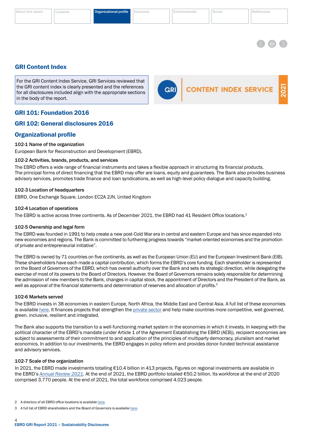<span id="page-5-0"></span>[About this report](#page-2-0) [Contents](#page-3-0) **Organizational profile** 

**CONTENT INDEX SERVICE** 



# GRI Content Index

For the GRI Content Index Service, GRI Services reviewed that the GRI content index is clearly presented and the references for all disclosures included align with the appropriate sections in the body of the report.

# GRI 101: Foundation 2016

# GRI 102: General disclosures 2016

# Organizational profile

#### 102-1 Name of the organization

European Bank for Reconstruction and Development (EBRD).

#### 102-2 Activities, brands, products, and services

The EBRD offers a wide range of financial instruments and takes a flexible approach in structuring its financial products. The principal forms of direct financing that the EBRD may offer are loans, equity and guarantees. The Bank also provides business advisory services, promotes trade finance and loan syndications, as well as high-level policy dialogue and capacity building.

#### 102-3 Location of headquarters

EBRD, One Exchange Square, London EC2A 2JN, United Kingdom

#### 102-4 Location of operations

The EBRD is active across three continents. As of December 2021, the EBRD had 41 Resident Office locations.<sup>2</sup>

#### 102-5 Ownership and legal form

The EBRD was founded in 1991 to help create a new post-Cold War era in central and eastern Europe and has since expanded into new economies and regions. The Bank is committed to furthering progress towards "market-oriented economies and the promotion of private and entrepreneurial initiative".

The EBRD is owned by 71 countries on five continents, as well as the European Union (EU) and the European Investment Bank (EIB). These shareholders have each made a capital contribution, which forms the EBRD's core funding. Each shareholder is represented on the Board of Governors of the EBRD, which has overall authority over the Bank and sets its strategic direction, while delegating the exercise of most of its powers to the Board of Directors. However, the Board of Governors remains solely responsible for determining the admission of new members to the Bank, changes in capital stock, the appointment of Directors and the President of the Bank, as well as approval of the financial statements and determination of reserves and allocation of profits.<sup>3</sup>

#### 102-6 Markets served

The EBRD invests in 38 economies in eastern Europe, North Africa, the Middle East and Central Asia. A full list of these economies is available [here.](https://www.ebrd.com/where-we-are.html) It finances projects that strengthen the [private sector](https://www.ebrd.com/what-we-do/sectors-and-topics.html) and help make countries more competitive, well governed, green, inclusive, resilient and integrated.

The Bank also supports the transition to a well-functioning market system in the economies in which it invests. In keeping with the political character of the EBRD's mandate (under Article 1 of the Agreement Establishing the EBRD (AEB)), recipient economies are subject to assessments of their commitment to and application of the principles of multiparty democracy, pluralism and market economics. In addition to our investments, the EBRD engages in policy reform and provides donor-funded technical assistance and advisory services.

#### 102-7 Scale of the organization

In 2021, the EBRD made investments totalling €10.4 billion in 413 projects. Figures on regional investments are available in the EBRD's *[Annual Review 2021.](https://2021.ar-ebrd.com/)* At the end of 2021, the EBRD portfolio totalled €50.2 billion. Its workforce at the end of 2020 comprised 3,770 people. At the end of 2021, the total workforce comprised 4,023 people.

<sup>2</sup> A directory of all EBRD office locations is available [here.](https://www.ebrd.com/contacts.html)

<sup>3</sup> A full list of EBRD shareholders and the Board of Governors is available [here](https://www.ebrd.com/shareholders-and-board-of-governors.html).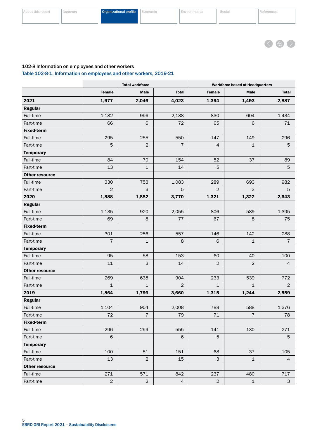<適 >

# <span id="page-6-0"></span>102-8 Information on employees and other workers

Table 102-8-1. Information on employees and other workers, 2019-21

|                       |                                                               | <b>Total workforce</b> |                | <b>Workforce based at Headquarters</b> |                |                                                                                                                                                                                                                                           |  |  |
|-----------------------|---------------------------------------------------------------|------------------------|----------------|----------------------------------------|----------------|-------------------------------------------------------------------------------------------------------------------------------------------------------------------------------------------------------------------------------------------|--|--|
|                       | <b>Female</b>                                                 | <b>Male</b>            | <b>Total</b>   | <b>Female</b>                          | <b>Male</b>    | <b>Total</b>                                                                                                                                                                                                                              |  |  |
| 2021                  | 1,977                                                         | 2,046                  | 4,023          | 1,394                                  | 1,493          | 2,887                                                                                                                                                                                                                                     |  |  |
| <b>Regular</b>        |                                                               |                        |                |                                        |                |                                                                                                                                                                                                                                           |  |  |
| Full-time             | 1,182                                                         | 956                    | 2,138          | 830                                    | 604            | 1,434<br>71<br>296<br>$\mathbf 5$<br>89<br>5<br>982<br>5<br>2,643<br>1,395<br>75<br>288<br>$\overline{7}$<br>100<br>$\overline{4}$<br>772<br>$\overline{2}$<br>2,559<br>1,376<br>78<br>271<br>$\mathbf 5$<br>105<br>$\overline{4}$<br>717 |  |  |
| Part-time             | 66                                                            | 6                      | 72             | 65                                     | $\,$ 6         |                                                                                                                                                                                                                                           |  |  |
| <b>Fixed-term</b>     |                                                               |                        |                |                                        |                |                                                                                                                                                                                                                                           |  |  |
| Full-time             | 295                                                           | 255                    | 550            | 147                                    | 149            |                                                                                                                                                                                                                                           |  |  |
| Part-time             | $\mathbf 5$<br>$\sqrt{2}$<br>$\overline{7}$<br>$\overline{4}$ |                        | $\mathbf 1$    |                                        |                |                                                                                                                                                                                                                                           |  |  |
| <b>Temporary</b>      |                                                               |                        |                |                                        |                |                                                                                                                                                                                                                                           |  |  |
| Full-time             | 84                                                            | 70<br>154<br>52<br>37  |                |                                        |                |                                                                                                                                                                                                                                           |  |  |
| Part-time             | 13                                                            | $\mathbf 1$            | 14             | $\overline{5}$                         |                |                                                                                                                                                                                                                                           |  |  |
| <b>Other resource</b> |                                                               |                        |                |                                        |                |                                                                                                                                                                                                                                           |  |  |
| Full-time             | 289                                                           | 693                    |                |                                        |                |                                                                                                                                                                                                                                           |  |  |
| Part-time             | $\overline{2}$                                                | 3                      | 5              | $\overline{2}$                         | 3              |                                                                                                                                                                                                                                           |  |  |
| 2020                  | 1,888                                                         | 1,882                  | 3,770          | 1,321                                  | 1,322          |                                                                                                                                                                                                                                           |  |  |
| <b>Regular</b>        |                                                               |                        |                |                                        |                |                                                                                                                                                                                                                                           |  |  |
| Full-time             | 1,135                                                         | 920                    | 2,055          | 806<br>589<br>8<br>67                  |                |                                                                                                                                                                                                                                           |  |  |
| Part-time             | 69                                                            | 8                      | 77             |                                        |                |                                                                                                                                                                                                                                           |  |  |
| <b>Fixed-term</b>     |                                                               |                        |                |                                        |                |                                                                                                                                                                                                                                           |  |  |
| Full-time             | 301                                                           | 256                    | 557            | 146                                    | 142            |                                                                                                                                                                                                                                           |  |  |
| Part-time             | $\overline{7}$                                                | 1                      | $\,8\,$        | 6                                      | $\mathbf 1$    |                                                                                                                                                                                                                                           |  |  |
| <b>Temporary</b>      |                                                               |                        |                |                                        |                |                                                                                                                                                                                                                                           |  |  |
| Full-time             | 95                                                            | 58                     | 153            | 60                                     | 40             |                                                                                                                                                                                                                                           |  |  |
| Part-time             | 11                                                            | 3                      | 14             | $\overline{2}$                         | $\overline{c}$ |                                                                                                                                                                                                                                           |  |  |
| <b>Other resource</b> |                                                               |                        |                |                                        |                |                                                                                                                                                                                                                                           |  |  |
| Full-time             | 269<br>635<br>904<br>233                                      |                        | 539            |                                        |                |                                                                                                                                                                                                                                           |  |  |
| Part-time             | $\mathbf{1}$                                                  | $\mathbf{1}$           | 2              | $\mathbf{1}$                           | $\mathbf{1}$   |                                                                                                                                                                                                                                           |  |  |
| 2019                  | 1,864                                                         | 1,796                  | 3,660          | 1,315                                  | 1,244          |                                                                                                                                                                                                                                           |  |  |
| <b>Regular</b>        |                                                               |                        |                |                                        |                |                                                                                                                                                                                                                                           |  |  |
| Full-time             | 1,104                                                         | 904                    | 2,008          | 788                                    | 588            |                                                                                                                                                                                                                                           |  |  |
| Part-time             | 72                                                            | $\overline{7}$         | 79             | $71$                                   | $\overline{7}$ |                                                                                                                                                                                                                                           |  |  |
| <b>Fixed-term</b>     |                                                               |                        |                |                                        |                |                                                                                                                                                                                                                                           |  |  |
| Full-time             | 296                                                           | 259                    | 555            | 141                                    | 130            |                                                                                                                                                                                                                                           |  |  |
| Part-time             | 6                                                             |                        | $\,$ 6 $\,$    | $5\phantom{.}$                         |                |                                                                                                                                                                                                                                           |  |  |
| <b>Temporary</b>      |                                                               |                        |                |                                        |                |                                                                                                                                                                                                                                           |  |  |
| Full-time             | 100                                                           | 51                     | 151            | 68                                     | 37             |                                                                                                                                                                                                                                           |  |  |
| Part-time             | 13                                                            | $\overline{2}$         | 15             | $\mathsf 3$                            | $\mathbf 1$    |                                                                                                                                                                                                                                           |  |  |
| <b>Other resource</b> |                                                               |                        |                |                                        |                |                                                                                                                                                                                                                                           |  |  |
| Full-time             | 271                                                           | 571                    | 842            | 237                                    | 480            |                                                                                                                                                                                                                                           |  |  |
| Part-time             | $\overline{2}$                                                | $\mathbf{2}$           | $\overline{4}$ | $\overline{2}$                         | $\mathbf 1$    | $\mathsf{3}$                                                                                                                                                                                                                              |  |  |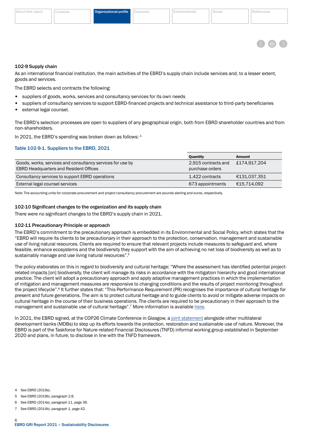

#### <span id="page-7-0"></span>102-9 Supply chain

As an international financial institution, the main activities of the EBRD's supply chain include services and, to a lesser extent, goods and services.

The EBRD selects and contracts the following:

- suppliers of goods, works, services and consultancy services for its own needs
- suppliers of consultancy services to support EBRD-financed projects and technical assistance to third-party beneficiaries
- external legal counsel.

The EBRD's selection processes are open to suppliers of any geographical origin, both from EBRD shareholder countries and from non-shareholders.

In 2021, the EBRD's spending was broken down as follows: 4

### Table 102-9-1. Suppliers to the EBRD, 2021

|                                                            | Quantity            | Amount       |
|------------------------------------------------------------|---------------------|--------------|
| Goods, works, services and consultancy services for use by | 2,915 contracts and | £174.917.204 |
| <b>EBRD Headquarters and Resident Offices</b>              | purchase orders     |              |
| Consultancy services to support EBRD operations            | 1.422 contracts     | €131,037,351 |
| External legal counsel services                            | 673 appointments    | €15,714,092  |

Note: The accounting units for corporate procurement and project consultancy procurement are pounds sterling and euros, respectively.

#### 102-10 Significant changes to the organization and its supply chain

There were no significant changes to the EBRD's supply chain in 2021.

#### 102-11 Precautionary Principle or approach

The EBRD's commitment to the precautionary approach is embedded in its Environmental and Social Policy, which states that the "EBRD will require its clients to be precautionary in their approach to the protection, conservation, management and sustainable use of living natural resources. Clients are required to ensure that relevant projects include measures to safeguard and, where feasible, enhance ecosystems and the biodiversity they support with the aim of achieving no net loss of biodiversity as well as to sustainably manage and use living natural resources".<sup>5</sup>

The policy elaborates on this in regard to biodiversity and cultural heritage: "Where the assessment has identified potential projectrelated impacts [on] biodiversity, the client will manage its risks in accordance with the mitigation hierarchy and good international practice. The client will adopt a precautionary approach and apply adaptive management practices in which the implementation of mitigation and management measures are responsive to changing conditions and the results of project monitoring throughout the project lifecycle".6 It further states that: "This Performance Requirement (PR) recognises the importance of cultural heritage for present and future generations. The aim is to protect cultural heritage and to guide clients to avoid or mitigate adverse impacts on cultural heritage in the course of their business operations. The clients are required to be precautionary in their approach to the management and sustainable use of cultural heritage".7 More information is available [here](https://www.ebrd.com/news/publications/policies/environmental-and-social-policy-esp.html).

In 2021, the EBRD signed, at the COP26 Climate Conference in Glasgow, a [joint statement](https://www.ebrd.com/sites/Satellite?c=Content&cid=1395301868658&d=&pagename=EBRD%2FContent%2FDownloadDocument) alongside other multilateral development banks (MDBs) to step up its efforts towards the protection, restoration and sustainable use of nature. Moreover, the EBRD is part of the Taskforce for Nature-related Financial Disclosures (TNFD) informal working group established in September 2020 and plans, in future, to disclose in line with the TNFD framework.

- 4 See EBRD (2019a).
- 5 See EBRD (2019b), paragraph 2.8.
- 6 See EBRD (2014a), paragraph 11, page 36.
- 7 See EBRD (2014b), paragraph 1, page 42.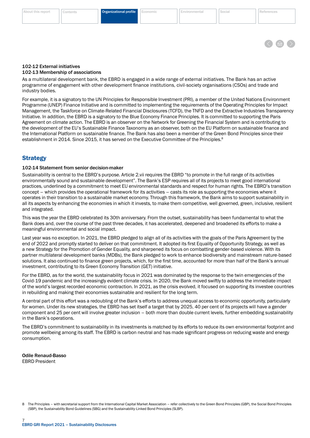#### <span id="page-8-0"></span>[About this report](#page-2-0) [Contents](#page-3-0) Organizational profile [Economic](#page-24-0) [Environmental](#page-29-0) [Social](#page-34-0) [References](#page-48-0)



# 102-12 External initiatives

#### 102-13 Membership of associations

As a multilateral development bank, the EBRD is engaged in a wide range of external initiatives. The Bank has an active programme of engagement with other development finance institutions, civil-society organisations (CSOs) and trade and industry bodies.

For example, it is a signatory to the UN Principles for Responsible Investment (PRI), a member of the United Nations Environment Programme (UNEP) Finance Initiative and is committed to implementing the requirements of the Operating Principles for Impact Management, the Taskforce on Climate-Related Financial Disclosures (TCFD), the TNFD and the Extractive Industries Transparency Initiative. In addition, the EBRD is a signatory to the Blue Economy Finance Principles. It is committed to supporting the Paris Agreement on climate action. The EBRD is an observer on the Network for Greening the Financial System and is contributing to the development of the EU's Sustainable Finance Taxonomy as an observer, both on the EU Platform on sustainable finance and the International Platform on sustainable finance. The Bank has also been a member of the Green Bond Principles since their establishment in 2014. Since 2015, it has served on the Executive Committee of the Principles.<sup>8</sup>

# **Strategy**

#### 102-14 Statement from senior decision-maker

Sustainability is central to the EBRD's purpose. Article 2.vii requires the EBRD "to promote in the full range of its activities environmentally sound and sustainable development". The Bank's ESP requires all of its projects to meet good international practices, underlined by a commitment to meet EU environmental standards and respect for human rights. The EBRD's transition concept – which provides the operational framework for its activities – casts its role as supporting the economies where it operates in their transition to a sustainable market economy. Through this framework, the Bank aims to support sustainability in all its aspects by enhancing the economies in which it invests, to make them competitive, well governed, green, inclusive, resilient and integrated.

This was the year the EBRD celebrated its 30th anniversary. From the outset, sustainability has been fundamental to what the Bank does and, over the course of the past three decades, it has accelerated, deepened and broadened its efforts to make a meaningful environmental and social impact.

Last year was no exception. In 2021, the EBRD pledged to align all of its activities with the goals of the Paris Agreement by the end of 2022 and promptly started to deliver on that commitment. It adopted its first Equality of Opportunity Strategy, as well as a new Strategy for the Promotion of Gender Equality, and sharpened its focus on combatting gender-based violence. With its partner multilateral development banks (MDBs), the Bank pledged to work to enhance biodiversity and mainstream nature-based solutions. It also continued to finance green projects, which, for the first time, accounted for more than half of the Bank's annual investment, contributing to its Green Economy Transition (GET) initiative.

For the EBRD, as for the world, the sustainability focus in 2021 was dominated by the response to the twin emergencies of the Covid-19 pandemic and the increasingly evident climate crisis. In 2020, the Bank moved swiftly to address the immediate impact of the world's largest recorded economic contraction. In 2021, as the crisis evolved, it focused on supporting its investee countries in rebuilding and making their economies sustainable and resilient for the long term.

A central part of this effort was a redoubling of the Bank's efforts to address unequal access to economic opportunity, particularly for women. Under its new strategies, the EBRD has set itself a target that by 2025, 40 per cent of its projects will have a gender component and 25 per cent will involve greater inclusion – both more than double current levels, further embedding sustainability in the Bank's operations.

The EBRD's commitment to sustainability in its investments is matched by its efforts to reduce its own environmental footprint and promote wellbeing among its staff. The EBRD is carbon neutral and has made significant progress on reducing waste and energy consumption.

Odile Renaud-Basso EBRD President

<sup>8</sup> The Principles – with secretarial support from the International Capital Market Association – refer collectively to the Green Bond Principles (GBP), the Social Bond Principles (SBP), the Sustainability Bond Guidelines (SBG) and the Sustainability-Linked Bond Principles (SLBP).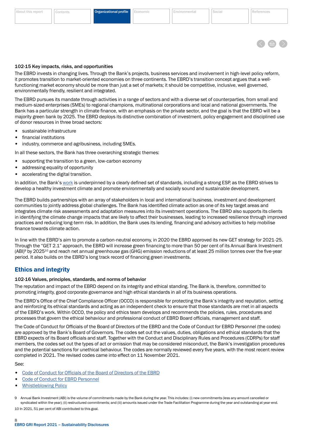

### <span id="page-9-0"></span>102-15 Key impacts, risks, and opportunities

The EBRD invests in changing lives. Through the Bank's projects, business services and involvement in high-level policy reform, it promotes transition to market-oriented economies on three continents. The EBRD's transition concept argues that a wellfunctioning market economy should be more than just a set of markets; it should be competitive, inclusive, well governed, environmentally friendly, resilient and integrated.

The EBRD pursues its mandate through activities in a range of sectors and with a diverse set of counterparties, from small and medium-sized enterprises (SMEs) to regional champions, multinational corporations and local and national governments. The Bank has a particular strength in climate finance, with an emphasis on the private sector, and the goal is that the EBRD will be a majority green bank by 2025. The EBRD deploys its distinctive combination of investment, policy engagement and disciplined use of donor resources in three broad sectors:

- sustainable infrastructure
- financial institutions
- industry, commerce and agribusiness, including SMEs.

In all these sectors, the Bank has three overarching strategic themes:

- supporting the transition to a green, low-carbon economy
- addressing equality of opportunity
- accelerating the digital transition.

In addition, the Bank's [work](https://www.ebrd.com/who-we-are.html) is underpinned by a clearly defined set of standards, including a strong ESP, as the EBRD strives to develop a healthy investment climate and promote environmentally and socially sound and sustainable development.

The EBRD builds partnerships with an array of stakeholders in local and international business, investment and development communities to jointly address global challenges. The Bank has identified climate action as one of its key target areas and integrates climate risk assessments and adaptation measures into its investment operations. The EBRD also supports its clients in identifying the climate change impacts that are likely to affect their businesses, leading to increased resilience through improved practices and reducing long-term risk. In addition, the Bank uses its lending, financing and advisory activities to help mobilise finance towards climate action.

In line with the EBRD's aim to promote a carbon-neutral economy, in 2020 the EBRD approved its new GET strategy for 2021-25. Through the "GET 2.1" approach, the EBRD will increase green financing to more than 50 per cent of its Annual Bank Investment  $(ABI)<sup>9</sup>$  by 2025<sup>10</sup> and reach net annual greenhouse gas (GHG) emission reductions of at least 25 million tonnes over the five-year period. It also builds on the EBRD's long track record of financing green investments.

# Ethics and integrity

# 102-16 Values, principles, standards, and norms of behavior

The reputation and impact of the EBRD depend on its integrity and ethical standing. The Bank is, therefore, committed to promoting integrity, good corporate governance and high ethical standards in all of its business operations.

The EBRD's Office of the Chief Compliance Officer (OCCO) is responsible for protecting the Bank's integrity and reputation, setting and reinforcing its ethical standards and acting as an independent check to ensure that those standards are met in all aspects of the EBRD's work. Within OCCO, the policy and ethics team develops and recommends the policies, rules, procedures and processes that govern the ethical behaviour and professional conduct of EBRD Board officials, management and staff.

The Code of Conduct for Officials of the Board of Directors of the EBRD and the Code of Conduct for EBRD Personnel (the codes) are approved by the Bank's Board of Governors. The codes set out the values, duties, obligations and ethical standards that the EBRD expects of its Board officials and staff. Together with the Conduct and Disciplinary Rules and Procedures (CDRPs) for staff members, the codes set out the types of act or omission that may be considered misconduct, the Bank's investigation procedures and the potential sanctions for unethical behaviour. The codes are normally reviewed every five years, with the most recent review completed in 2021. The revised codes came into effect on 11 November 2021.

See:

- [Code of Conduct for Officials of the Board of Directors of the EBRD](https://www.ebrd.com/integrity-and-compliance.html)
- [Code of Conduct for EBRD Personnel](https://www.ebrd.com/integrity-and-compliance.html)
- [Whistleblowing Policy](https://www.ebrd.com/integrity-and-compliance.html)

9 Annual Bank Investment (ABI) is the volume of commitments made by the Bank during the year. This includes: (i) new commitments (less any amount cancelled or syndicated within the year); (ii) restructured commitments; and (iii) amounts issued under the Trade Facilitation Programme during the year and outstanding at year-end. 10 In 2021, 51 per cent of ABI contributed to this goal.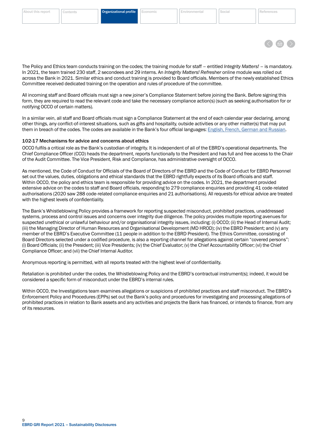

<span id="page-10-0"></span>The Policy and Ethics team conducts training on the codes; the training module for staff – entitled *Integrity Matters!* – is mandatory. In 2021, the team trained 230 staff, 2 secondees and 29 interns. An *Integrity Matters! Refresher* online module was rolled out across the Bank in 2021. Similar ethics and conduct training is provided to Board officials. Members of the newly established Ethics Committee received dedicated training on the operation and rules of procedure of the committee.

All incoming staff and Board officials must sign a new joiner's Compliance Statement before joining the Bank. Before signing this form, they are required to read the relevant code and take the necessary compliance action(s) (such as seeking authorisation for or notifying OCCO of certain matters).

In a similar vein, all staff and Board officials must sign a Compliance Statement at the end of each calendar year declaring, among other things, any conflict-of-interest situations, such as gifts and hospitality, outside activities or any other matter(s) that may put them in breach of the codes. The codes are available in the Bank's four official languages: [English, French, German and Russian](https://www.ebrd.com/integrity-and-compliance.html).

#### 102-17 Mechanisms for advice and concerns about ethics

OCCO fulfils a critical role as the Bank's custodian of integrity. It is independent of all of the EBRD's operational departments. The Chief Compliance Officer (CCO) heads the department, reports functionally to the President and has full and free access to the Chair of the Audit Committee. The Vice President, Risk and Compliance, has administrative oversight of OCCO.

As mentioned, the Code of Conduct for Officials of the Board of Directors of the EBRD and the Code of Conduct for EBRD Personnel set out the values, duties, obligations and ethical standards that the EBRD rightfully expects of its Board officials and staff. Within OCCO, the policy and ethics team is responsible for providing advice on the codes. In 2021, the department provided extensive advice on the codes to staff and Board officials, responding to 279 compliance enquiries and providing 41 code-related authorisations (2020 saw 288 code-related compliance enquiries and 21 authorisations). All requests for ethical advice are treated with the highest levels of confidentiality.

The Bank's Whistleblowing Policy provides a framework for reporting suspected misconduct, prohibited practices, unaddressed systems, process and control issues and concerns over integrity due diligence. The policy provides multiple reporting avenues for suspected unethical or unlawful behaviour and/or organisational integrity issues, including: (i) OCCO; (ii) the Head of Internal Audit; (iii) the Managing Director of Human Resources and Organisational Development (MD HROD); (iv) the EBRD President; and (v) any member of the EBRD's Executive Committee (11 people in addition to the EBRD President). The Ethics Committee, consisting of Board Directors selected under a codified procedure, is also a reporting channel for allegations against certain "covered persons": (i) Board Officials; (ii) the President; (iii) Vice Presidents; (iv) the Chief Evaluator; (v) the Chief Accountability Officer; (vi) the Chief Compliance Officer; and (vii) the Chief Internal Auditor.

Anonymous reporting is permitted, with all reports treated with the highest level of confidentiality.

Retaliation is prohibited under the codes, the Whistleblowing Policy and the EBRD's contractual instrument(s); indeed, it would be considered a specific form of misconduct under the EBRD's internal rules.

Within OCCO, the Investigations team examines allegations or suspicions of prohibited practices and staff misconduct. The EBRD's Enforcement Policy and Procedures (EPPs) set out the Bank's policy and procedures for investigating and processing allegations of prohibited practices in relation to Bank assets and any activities and projects the Bank has financed, or intends to finance, from any of its resources.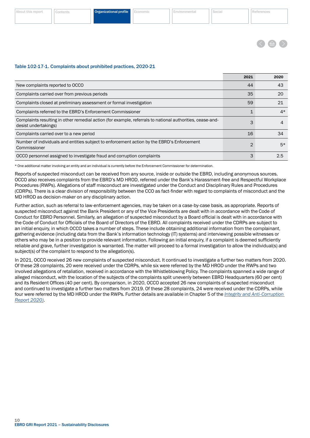

#### Table 102-17-1. Complaints about prohibited practices, 2020-21

|                                                                                                                                   | 2021          | 2020 |
|-----------------------------------------------------------------------------------------------------------------------------------|---------------|------|
| New complaints reported to OCCO                                                                                                   | 44            | 43   |
| Complaints carried over from previous periods                                                                                     | 35            | 20   |
| Complaints closed at preliminary assessment or formal investigation                                                               | 59            | 21   |
| Complaints referred to the EBRD's Enforcement Commissioner                                                                        |               | $4*$ |
| Complaints resulting in other remedial action (for example, referrals to national authorities, cease-and-<br>desist undertakings) | 3             |      |
| Complaints carried over to a new period                                                                                           | 16            | 34   |
| Number of individuals and entities subject to enforcement action by the EBRD's Enforcement<br>Commissioner                        | $\mathcal{P}$ | $5*$ |
| OCCO personnel assigned to investigate fraud and corruption complaints                                                            | З             | 2.5  |

\* One additional matter involving an entity and an individual is currently before the Enforcement Commissioner for determination.

Reports of suspected misconduct can be received from any source, inside or outside the EBRD, including anonymous sources. OCCO also receives complaints from the EBRD's MD HROD, referred under the Bank's Harassment-free and Respectful Workplace Procedures (RWPs). Allegations of staff misconduct are investigated under the Conduct and Disciplinary Rules and Procedures (CDRPs). There is a clear division of responsibility between the CCO as fact-finder with regard to complaints of misconduct and the MD HROD as decision-maker on any disciplinary action.

Further action, such as referral to law-enforcement agencies, may be taken on a case-by-case basis, as appropriate. Reports of suspected misconduct against the Bank President or any of the Vice Presidents are dealt with in accordance with the Code of Conduct for EBRD Personnel. Similarly, an allegation of suspected misconduct by a Board official is dealt with in accordance with the Code of Conduct for Officials of the Board of Directors of the EBRD. All complaints received under the CDRPs are subject to an initial enquiry, in which OCCO takes a number of steps. These include obtaining additional information from the complainant, gathering evidence (including data from the Bank's information technology (IT) systems) and interviewing possible witnesses or others who may be in a position to provide relevant information. Following an initial enquiry, if a complaint is deemed sufficiently reliable and grave, further investigation is warranted. The matter will proceed to a formal investigation to allow the individual(s) and subject(s) of the complaint to respond to the allegation(s).

In 2021, OCCO received 26 new complaints of suspected misconduct. It continued to investigate a further two matters from 2020. Of these 28 complaints, 20 were received under the CDRPs, while six were referred by the MD HROD under the RWPs and two involved allegations of retaliation, received in accordance with the Whistleblowing Policy. The complaints spanned a wide range of alleged misconduct, with the location of the subjects of the complaints split unevenly between EBRD Headquarters (60 per cent) and its Resident Offices (40 per cent). By comparison, in 2020, OCCO accepted 26 new complaints of suspected misconduct and continued to investigate a further two matters from 2019. Of these 28 complaints, 24 were received under the CDRPs, while four were referred by the MD HROD under the RWPs. Further details are available in Chapter 5 of the *[Integrity and Anti-Corruption](https://www.ebrd.com/integrity-and-compliance.html)  [Report 2020\)](https://www.ebrd.com/integrity-and-compliance.html)*.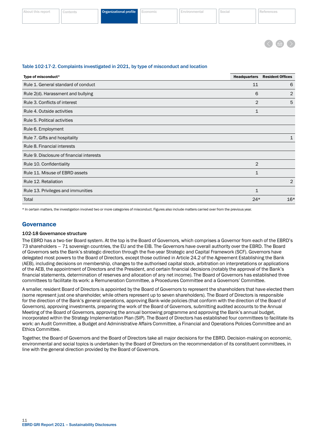<span id="page-12-0"></span>

| 15 T.F<br>シレンロ |  | Organizational profile | . | --<br><b>Barbara</b> | <b>Contract Contract</b><br>$\sim$ |  |
|----------------|--|------------------------|---|----------------------|------------------------------------|--|
|                |  |                        |   |                      |                                    |  |

Table 102-17-2. Complaints investigated in 2021, by type of misconduct and location

| Type of misconduct*                       | <b>Headquarters</b> | <b>Resident Offices</b> |
|-------------------------------------------|---------------------|-------------------------|
| Rule 1. General standard of conduct       | 11                  | 6                       |
| Rule 2(d). Harassment and bullying        | 6                   | $\overline{2}$          |
| Rule 3. Conflicts of interest             | 2                   | 5                       |
| Rule 4. Outside activities                | 1                   |                         |
| Rule 5. Political activities              |                     |                         |
| Rule 6. Employment                        |                     |                         |
| Rule 7. Gifts and hospitality             |                     | 1                       |
| Rule 8. Financial interests               |                     |                         |
| Rule 9. Disclosure of financial interests |                     |                         |
| Rule 10. Confidentiality                  | 2                   |                         |
| Rule 11. Misuse of EBRD assets            | 1                   |                         |
| Rule 12. Retaliation                      |                     | 2                       |
| Rule 13. Privileges and immunities        | 1                   |                         |
| Total                                     | $24*$               | $16*$                   |

\* In certain matters, the investigation involved two or more categories of misconduct. Figures also include matters carried over from the previous year.

# Governance

#### 102-18 Governance structure

The EBRD has a two-tier Board system. At the top is the Board of Governors, which comprises a Governor from each of the EBRD's 73 shareholders – 71 sovereign countries, the EU and the EIB. The Governors have overall authority over the EBRD. The Board of Governors sets the Bank's strategic direction through the five-year Strategic and Capital Framework (SCF). Governors have delegated most powers to the Board of Directors, except those outlined in Article 24.2 of the Agreement Establishing the Bank (AEB), including decisions on membership, changes to the authorised capital stock, arbitration on interpretations or applications of the AEB, the appointment of Directors and the President, and certain financial decisions (notably the approval of the Bank's financial statements, determination of reserves and allocation of any net income). The Board of Governors has established three committees to facilitate its work: a Remuneration Committee, a Procedures Committee and a Governors' Committee.

A smaller, resident Board of Directors is appointed by the Board of Governors to represent the shareholders that have elected them (some represent just one shareholder, while others represent up to seven shareholders). The Board of Directors is responsible for the direction of the Bank's general operations, approving Bank-wide policies (that conform with the direction of the Board of Governors), approving investments, preparing the work of the Board of Governors, submitting audited accounts to the Annual Meeting of the Board of Governors, approving the annual borrowing programme and approving the Bank's annual budget, incorporated within the Strategy Implementation Plan (SIP). The Board of Directors has established four committees to facilitate its work: an Audit Committee, a Budget and Administrative Affairs Committee, a Financial and Operations Policies Committee and an Ethics Committee.

Together, the Board of Governors and the Board of Directors take all major decisions for the EBRD. Decision-making on economic, environmental and social topics is undertaken by the Board of Directors on the recommendation of its constituent committees, in line with the general direction provided by the Board of Governors.

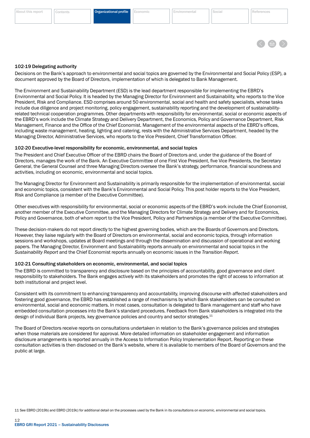

#### <span id="page-13-0"></span>102-19 Delegating authority

Decisions on the Bank's approach to environmental and social topics are governed by the Environmental and Social Policy (ESP), a document approved by the Board of Directors, implementation of which is delegated to Bank Management.

The Environment and Sustainability Department (ESD) is the lead department responsible for implementing the EBRD's Environmental and Social Policy. It is headed by the Managing Director for Environment and Sustainability, who reports to the Vice President, Risk and Compliance. ESD comprises around 50 environmental, social and health and safety specialists, whose tasks include due diligence and project monitoring, policy engagement, sustainability reporting and the development of sustainabilityrelated technical cooperation programmes. Other departments with responsibility for environmental, social or economic aspects of the EBRD's work include the Climate Strategy and Delivery Department, the Economics, Policy and Governance Department, Risk Management, Finance and the Office of the Chief Economist. Management of the environmental aspects of the EBRD's offices, including waste management, heating, lighting and catering, rests with the Administrative Services Department, headed by the Managing Director, Administrative Services, who reports to the Vice President, Chief Transformation Officer.

#### 102-20 Executive-level responsibility for economic, environmental, and social topics

The President and Chief Executive Officer of the EBRD chairs the Board of Directors and, under the guidance of the Board of Directors, manages the work of the Bank. An Executive Committee of one First Vice President, five Vice Presidents, the Secretary General, the General Counsel and three Managing Directors oversee the Bank's strategy, performance, financial soundness and activities, including on economic, environmental and social topics.

The Managing Director for Environment and Sustainability is primarily responsible for the implementation of environmental, social and economic topics, consistent with the Bank's Environmental and Social Policy. This post holder reports to the Vice President, Risk and Compliance (a member of the Executive Committee).

Other executives with responsibility for environmental, social or economic aspects of the EBRD's work include the Chief Economist, another member of the Executive Committee, and the Managing Directors for Climate Strategy and Delivery and for Economics, Policy and Governance, both of whom report to the Vice President, Policy and Partnerships (a member of the Executive Committee).

These decision-makers do not report directly to the highest governing bodies, which are the Boards of Governors and Directors. However, they liaise regularly with the Board of Directors on environmental, social and economic topics, through information sessions and workshops, updates at Board meetings and through the dissemination and discussion of operational and working papers. The Managing Director, Environment and Sustainability reports annually on environmental and social topics in the *Sustainability Report* and the Chief Economist reports annually on economic issues in the *Transition Report*.

#### 102-21 Consulting stakeholders on economic, environmental, and social topics

The EBRD is committed to transparency and disclosure based on the principles of accountability, good governance and client responsibility to stakeholders. The Bank engages actively with its stakeholders and promotes the right of access to information at both institutional and project level.

Consistent with its commitment to enhancing transparency and accountability, improving discourse with affected stakeholders and fostering good governance, the EBRD has established a range of mechanisms by which Bank stakeholders can be consulted on environmental, social and economic matters. In most cases, consultation is delegated to Bank management and staff who have embedded consultation processes into the Bank's standard procedures. Feedback from Bank stakeholders is integrated into the design of individual Bank projects, key governance policies and country and sector strategies.<sup>11</sup>

The Board of Directors receive reports on consultations undertaken in relation to the Bank's governance policies and strategies when those materials are considered for approval. More detailed information on stakeholder engagement and information disclosure arrangements is reported annually in the Access to Information Policy Implementation Report. Reporting on these consultation activities is then disclosed on the Bank's website, where it is available to members of the Board of Governors and the public at large.

11 See EBRD (2019b) and EBRD (2019c) for additional detail on the processes used by the Bank in its consultations on economic, environmental and social topics.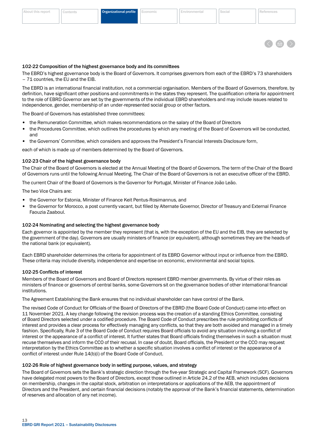

# <span id="page-14-0"></span>102-22 Composition of the highest governance body and its committees

The EBRD's highest governance body is the Board of Governors. It comprises governors from each of the EBRD's 73 shareholders – 71 countries, the EU and the EIB.

The EBRD is an international financial institution, not a commercial organisation. Members of the Board of Governors, therefore, by definition, have significant other positions and commitments in the states they represent. The qualification criteria for appointment to the role of EBRD Governor are set by the governments of the individual EBRD shareholders and may include issues related to independence, gender, membership of an under-represented social group or other factors.

The Board of Governors has established three committees:

- the Remuneration Committee, which makes recommendations on the salary of the Board of Directors
- the Procedures Committee, which outlines the procedures by which any meeting of the Board of Governors will be conducted, and
- the Governors' Committee, which considers and approves the President's Financial Interests Disclosure form,

each of which is made up of members determined by the Board of Governors.

# 102-23 Chair of the highest governance body

The Chair of the Board of Governors is elected at the Annual Meeting of the Board of Governors. The term of the Chair of the Board of Governors runs until the following Annual Meeting. The Chair of the Board of Governors is not an executive officer of the EBRD.

The current Chair of the Board of Governors is the Governor for Portugal, Minister of Finance João Leão.

The two Vice Chairs are:

- the Governor for Estonia, Minister of Finance Keit Pentus-Rosimannus, and
- the Governor for Morocco, a post currently vacant, but filled by Alternate Governor, Director of Treasury and External Finance Faouzia Zaaboul.

#### 102-24 Nominating and selecting the highest governance body

Each governor is appointed by the member they represent (that is, with the exception of the EU and the EIB, they are selected by the government of the day). Governors are usually ministers of finance (or equivalent), although sometimes they are the heads of the national bank (or equivalent).

Each EBRD shareholder determines the criteria for appointment of its EBRD Governor without input or influence from the EBRD. These criteria may include diversity, independence and expertise on economic, environmental and social topics.

#### 102-25 Conflicts of interest

Members of the Board of Governors and Board of Directors represent EBRD member governments. By virtue of their roles as ministers of finance or governors of central banks, some Governors sit on the governance bodies of other international financial institutions.

The Agreement Establishing the Bank ensures that no individual shareholder can have control of the Bank.

The revised Code of Conduct for Officials of the Board of Directors of the EBRD (the Board Code of Conduct) came into effect on 11 November 2021. A key change following the revision process was the creation of a standing Ethics Committee, consisting of Board Directors selected under a codified procedure. The Board Code of Conduct prescribes the rule prohibiting conflicts of interest and provides a clear process for effectively managing any conflicts, so that they are both avoided and managed in a timely fashion. Specifically, Rule 3 of the Board Code of Conduct requires Board officials to avoid any situation involving a conflict of interest or the appearance of a conflict of interest. It further states that Board officials finding themselves in such a situation must recuse themselves and inform the CCO of their recusal. In case of doubt, Board officials, the President or the CCO may request interpretation by the Ethics Committee as to whether a specific situation involves a conflict of interest or the appearance of a conflict of interest under Rule 14(b)(i) of the Board Code of Conduct.

#### 102-26 Role of highest governance body in setting purpose, values, and strategy

The Board of Governors sets the Bank's strategic direction through the five-year Strategic and Capital Framework (SCF). Governors have delegated most powers to the Board of Directors, except those outlined in Article 24.2 of the AEB, which includes decisions on membership, changes in the capital stock, arbitration on interpretations or applications of the AEB, the appointment of Directors and the President, and certain financial decisions (notably the approval of the Bank's financial statements, determination of reserves and allocation of any net income).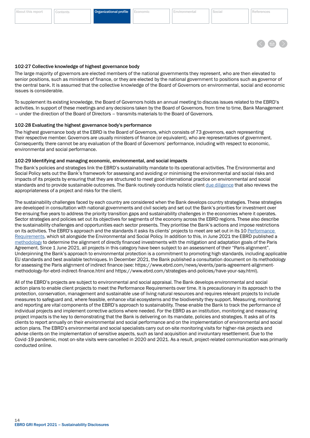

#### <span id="page-15-0"></span>102-27 Collective knowledge of highest governance body

The large majority of governors are elected members of the national governments they represent, who are then elevated to senior positions, such as ministers of finance, or they are elected by the national government to positions such as governor of the central bank. It is assumed that the collective knowledge of the Board of Governors on environmental, social and economic issues is considerable.

To supplement its existing knowledge, the Board of Governors holds an annual meeting to discuss issues related to the EBRD's activities. In support of these meetings and any decisions taken by the Board of Governors, from time to time, Bank Management – under the direction of the Board of Directors – transmits materials to the Board of Governors.

#### 102-28 Evaluating the highest governance body's performance

The highest governance body at the EBRD is the Board of Governors, which consists of 73 governors, each representing their respective member. Governors are usually ministers of finance (or equivalent), who are representatives of government. Consequently, there cannot be any evaluation of the Board of Governors' performance, including with respect to economic, environmental and social performance.

#### 102-29 Identifying and managing economic, environmental, and social impacts

The Bank's policies and strategies link the EBRD's sustainability mandate to its operational activities. The Environmental and Social Policy sets out the Bank's framework for assessing and avoiding or minimising the environmental and social risks and impacts of its projects by ensuring that they are structured to meet good international practice on environmental and social standards and to provide sustainable outcomes. The Bank routinely conducts holistic client [due diligence](https://www.ebrd.com/what-we-do/client-due-diligence.html) that also reviews the appropriateness of a project and risks for the client.

The sustainability challenges faced by each country are considered when the Bank develops country strategies. These strategies are developed in consultation with national governments and civil society and set out the Bank's priorities for investment over the ensuing five years to address the priority transition gaps and sustainability challenges in the economies where it operates. Sector strategies and policies set out its objectives for segments of the economy across the EBRD regions. These also describe the sustainability challenges and opportunities each sector presents. They prioritise the Bank's actions and impose restrictions on its activities. The EBRD's approach and the standards it asks its clients' projects to meet are set out in its 10 [Performance](https://www.ebrd.com/news/publications/policies/environmental-and-social-policy-esp.html)  [Requirements](https://www.ebrd.com/news/publications/policies/environmental-and-social-policy-esp.html), which sit alongside the Environmental and Social Policy. In addition to this, in June 2021 the EBRD published a [methodology](https://www.ebrd.com/documents/comms-and-bis/ebrd-paris-alignment-methodology.pdf) to determine the alignment of directly financed investments with the mitigation and adaptation goals of the Paris Agreement. Since 1 June 2021, all projects in this category have been subject to an assessment of their "Paris alignment". Underpinning the Bank's approach to environmental protection is a commitment to promoting high standards, including applicable EU standards and best available techniques. In December 2021, the Bank published a consultation document on its methodology for assessing the Paris alignment of indirect finance (see: https://www.ebrd.com/news/events/paris-agreement-alignmentmethodology-for-ebrd-indirect-finance.html and https://www.ebrd.com/strategies-and-policies/have-your-say.html).

All of the EBRD's projects are subject to environmental and social appraisal. The Bank develops environmental and social action plans to enable client projects to meet the Performance Requirements over time. It is precautionary in its approach to the protection, conservation, management and sustainable use of living natural resources and requires relevant projects to include measures to safeguard and, where feasible, enhance vital ecosystems and the biodiversity they support. Measuring, monitoring and reporting are vital components of the EBRD's approach to sustainability. These enable the Bank to track the performance of individual projects and implement corrective actions where needed. For the EBRD as an institution, monitoring and measuring project impacts is the key to demonstrating that the Bank is delivering on its mandate, policies and strategies. It asks all of its clients to report annually on their environmental and social performance and on the implementation of environmental and social action plans. The EBRD's environmental and social specialists carry out on-site monitoring visits for higher-risk projects and advise clients on the implementation of sensitive aspects, such as land acquisition and involuntary resettlement. Due to the Covid-19 pandemic, most on-site visits were cancelled in 2020 and 2021. As a result, project-related communication was primarily conducted online.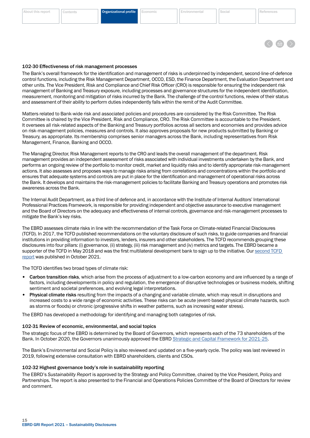#### <span id="page-16-0"></span>[About this report](#page-2-0) [Contents](#page-3-0) Organizational profile [Economic](#page-24-0) [Environmental](#page-29-0) [Social](#page-34-0) [References](#page-48-0)

# 102-30 Effectiveness of risk management processes

The Bank's overall framework for the identification and management of risks is underpinned by independent, second-line-of-defence control functions, including the Risk Management Department, OCCO, ESD, the Finance Department, the Evaluation Department and other units. The Vice President, Risk and Compliance and Chief Risk Officer (CRO) is responsible for ensuring the independent risk management of Banking and Treasury exposure, including processes and governance structures for the independent identification, measurement, monitoring and mitigation of risks incurred by the Bank. The challenge of the control functions, review of their status and assessment of their ability to perform duties independently falls within the remit of the Audit Committee.

Matters related to Bank-wide risk and associated policies and procedures are considered by the Risk Committee. The Risk Committee is chaired by the Vice President, Risk and Compliance, CRO. The Risk Committee is accountable to the President. It oversees all risk-related aspects of the Banking and Treasury portfolios across all sectors and economies and provides advice on risk-management policies, measures and controls. It also approves proposals for new products submitted by Banking or Treasury, as appropriate. Its membership comprises senior managers across the Bank, including representatives from Risk Management, Finance, Banking and OCCO.

The Managing Director, Risk Management reports to the CRO and leads the overall management of the department. Risk management provides an independent assessment of risks associated with individual investments undertaken by the Bank, and performs an ongoing review of the portfolio to monitor credit, market and liquidity risks and to identify appropriate risk-management actions. It also assesses and proposes ways to manage risks arising from correlations and concentrations within the portfolio and ensures that adequate systems and controls are put in place for the identification and management of operational risks across the Bank. It develops and maintains the risk-management policies to facilitate Banking and Treasury operations and promotes risk awareness across the Bank.

The Internal Audit Department, as a third line of defence and, in accordance with the Institute of Internal Auditors' International Professional Practices Framework, is responsible for providing independent and objective assurance to executive management and the Board of Directors on the adequacy and effectiveness of internal controls, governance and risk-management processes to mitigate the Bank's key risks.

The EBRD assesses climate risks in line with the recommendation of the Task Force on Climate-related Financial Disclosures (TCFD). In 2017, the TCFD published recommendations on the voluntary disclosure of such risks, to guide companies and financial institutions in providing information to investors, lenders, insurers and other stakeholders. The TCFD recommends grouping these disclosures into four pillars: (i) governance, (ii) strategy, (iii) risk management and (iv) metrics and targets. The EBRD became a supporter of the TCFD in May 2018 and was the first multilateral development bank to sign up to the initiative. Our [second TCFD](https://www.ebrd.com/news/2021/ebrds-second-tcfd-report-discloses-new-work-on-climate-risk-assessment-.html#:~:text=The%20EBRD%20has%20published%20its,Related%20Financial%20Disclosures%20(TCFD).&text=It%20further%20sets%20out%20key,the%20economies%20where%20it%20invests)  [report](https://www.ebrd.com/news/2021/ebrds-second-tcfd-report-discloses-new-work-on-climate-risk-assessment-.html#:~:text=The%20EBRD%20has%20published%20its,Related%20Financial%20Disclosures%20(TCFD).&text=It%20further%20sets%20out%20key,the%20economies%20where%20it%20invests) was published in October 2021.

The TCFD identifies two broad types of climate risk:

- Carbon transition risks, which arise from the process of adjustment to a low-carbon economy and are influenced by a range of factors, including developments in policy and regulation, the emergence of disruptive technologies or business models, shifting sentiment and societal preferences, and evolving legal interpretations.
- Physical climate risks resulting from the impacts of a changing and variable climate, which may result in disruptions and increased costs to a wide range of economic activities. These risks can be acute (event-based physical climate hazards, such as storms or floods) or chronic (progressive shifts in weather patterns, such as increasing water stress).

The EBRD has developed a methodology for identifying and managing both categories of risk.

#### 102-31 Review of economic, environmental, and social topics

The strategic focus of the EBRD is determined by the Board of Governors, which represents each of the 73 shareholders of the Bank. In October 2020, the Governors unanimously approved the EBRD [Strategic and Capital Framework for 2021-25.](https://www.ebrd.com/what-we-do/strategy-capital-framework)

The Bank's Environmental and Social Policy is also reviewed and updated on a five-yearly cycle. The policy was last reviewed in 2019, following extensive consultation with EBRD shareholders, clients and CSOs.

#### 102-32 Highest governance body's role in sustainability reporting

The EBRD's *Sustainability Report* is approved by the Strategy and Policy Committee, chaired by the Vice President, Policy and Partnerships. The report is also presented to the Financial and Operations Policies Committee of the Board of Directors for review and comment.

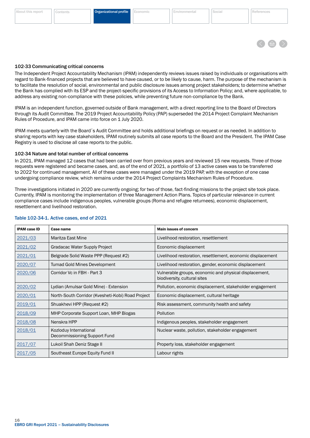### Table 102-34-1. Active cases, end of 2021

resettlement and livelihood restoration.

 $\overline{1}$ 

102-34 Nature and total number of critical concerns

| <b>IPAM case ID</b> | <b>Case name</b>                                       | <b>Main issues of concern</b>                                                          |
|---------------------|--------------------------------------------------------|----------------------------------------------------------------------------------------|
| 2021/03             | Maritza East Mine                                      | Livelihood restoration, resettlement                                                   |
| 2021/02             | Gradacac Water Supply Project                          | Economic displacement                                                                  |
| 2021/01             | Belgrade Solid Waste PPP (Request #2)                  | Livelihood restoration, resettlement, economic displacement                            |
| 2020/07             | <b>Tumad Gold Mines Development</b>                    | Livelihood restoration, gender, economic displacement                                  |
| 2020/06             | Corridor Vc in FBH - Part 3                            | Vulnerable groups, economic and physical displacement,<br>biodiversity, cultural sites |
| 2020/02             | Lydian (Amulsar Gold Mine) - Extension                 | Pollution, economic displacement, stakeholder engagement                               |
| 2020/01             | North-South Corridor (Kvesheti-Kobi) Road Project      | Economic displacement, cultural heritage                                               |
| 2019/01             | Shuakhevi HPP (Request #2)                             | Risk assessment, community health and safety                                           |
| 2018/09             | MHP Corporate Support Loan, MHP Biogas                 | <b>Pollution</b>                                                                       |
| 2018/08             | Nenskra HPP                                            | Indigenous peoples, stakeholder engagement                                             |
| 2018/01             | Kozloduy International<br>Decommissioning Support Fund | Nuclear waste, pollution, stakeholder engagement                                       |
| 2017/07             | Lukoil Shah Deniz Stage II                             | Property loss, stakeholder engagement                                                  |
| 2017/05             | Southeast Europe Equity Fund II                        | Labour rights                                                                          |

In 2021, IPAM managed 12 cases that had been carried over from previous years and reviewed 15 new requests. Three of those requests were registered and became cases, and, as of the end of 2021, a portfolio of 13 active cases was to be transferred to 2022 for continued management. All of these cases were managed under the 2019 PAP, with the exception of one case undergoing compliance review, which remains under the 2014 Project Complaints Mechanism Rules of Procedure. Three investigations initiated in 2020 are currently ongoing; for two of those, fact-finding missions to the project site took place.

Currently, IPAM is monitoring the implementation of three Management Action Plans. Topics of particular relevance in current compliance cases include indigenous peoples, vulnerable groups (Roma and refugee returnees), economic displacement,

through its Audit Committee. The 2019 Project Accountability Policy (PAP) superseded the 2014 Project Complaint Mechanism Rules of Procedure, and IPAM came into force on 1 July 2020.

IPAM meets quarterly with the Board´s Audit Committee and holds additional briefings on request or as needed. In addition to sharing reports with key case stakeholders, IPAM routinely submits all case reports to the Board and the President. The IPAM Case Registry is used to disclose all case reports to the public.

<span id="page-17-0"></span>102-33 Communicating critical concerns

The Independent Project Accountability Mechanism (IPAM) independently reviews issues raised by individuals or organisations with regard to Bank-financed projects that are believed to have caused, or to be likely to cause, harm. The purpose of the mechanism is to facilitate the resolution of social, environmental and public disclosure issues among project stakeholders; to determine whether the Bank has complied with its ESP and the project-specific provisions of its Access to Information Policy; and, where applicable, to address any existing non-compliance with these policies, while preventing future non-compliance by the Bank.

IPAM is an independent function, governed outside of Bank management, with a direct reporting line to the Board of Directors

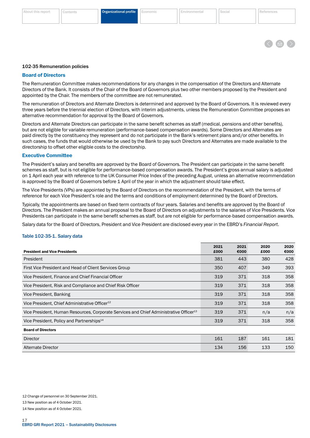#### <span id="page-18-0"></span>[About this report](#page-2-0) [Contents](#page-3-0) Organizational profile [Economic](#page-24-0) [Environmental](#page-29-0) [Social](#page-34-0) [References](#page-48-0)



#### 102-35 Remuneration policies

#### Board of Directors

The Remuneration Committee makes recommendations for any changes in the compensation of the Directors and Alternate Directors of the Bank. It consists of the Chair of the Board of Governors plus two other members proposed by the President and appointed by the Chair. The members of the committee are not remunerated.

The remuneration of Directors and Alternate Directors is determined and approved by the Board of Governors. It is reviewed every three years before the triennial election of Directors, with interim adjustments, unless the Remuneration Committee proposes an alternative recommendation for approval by the Board of Governors.

Directors and Alternate Directors can participate in the same benefit schemes as staff (medical, pensions and other benefits), but are not eligible for variable remuneration (performance-based compensation awards). Some Directors and Alternates are paid directly by the constituency they represent and do not participate in the Bank's retirement plans and/or other benefits. In such cases, the funds that would otherwise be used by the Bank to pay such Directors and Alternates are made available to the directorship to offset other eligible costs to the directorship.

#### Executive Committee

The President's salary and benefits are approved by the Board of Governors. The President can participate in the same benefit schemes as staff, but is not eligible for performance-based compensation awards. The President's gross annual salary is adjusted on 1 April each year with reference to the UK Consumer Price Index of the preceding August, unless an alternative recommendation is approved by the Board of Governors before 1 April of the year in which the adjustment should take effect.

The Vice Presidents (VPs) are appointed by the Board of Directors on the recommendation of the President, with the terms of reference for each Vice President's role and the terms and conditions of employment determined by the Board of Directors.

Typically, the appointments are based on fixed-term contracts of four years. Salaries and benefits are approved by the Board of Directors. The President makes an annual proposal to the Board of Directors on adjustments to the salaries of Vice Presidents. Vice Presidents can participate in the same benefit schemes as staff, but are not eligible for performance-based compensation awards.

Salary data for the Board of Directors, President and Vice President are disclosed every year in the EBRD's *Financial Report*.

#### Table 102-35-1. Salary data

| <b>President and Vice Presidents</b>                                                               | 2021<br>£000 | 2021<br>€000 | 2020<br>£000 | 2020<br>€000 |
|----------------------------------------------------------------------------------------------------|--------------|--------------|--------------|--------------|
| President                                                                                          | 381          | 443          | 380          | 428          |
| First Vice President and Head of Client Services Group                                             | 350          | 407          | 349          | 393          |
| Vice President, Finance and Chief Financial Officer                                                | 319          | 371          | 318          | 358          |
| Vice President, Risk and Compliance and Chief Risk Officer                                         | 319          | 371          | 318          | 358          |
| Vice President, Banking                                                                            | 319          | 371          | 318          | 358          |
| Vice President, Chief Administrative Officer <sup>12</sup>                                         | 319          | 371          | 318          | 358          |
| Vice President, Human Resources, Corporate Services and Chief Administrative Officer <sup>13</sup> | 319          | 371          | n/a          | n/a          |
| Vice President, Policy and Partnerships <sup>14</sup>                                              | 319          | 371          | 318          | 358          |
| <b>Board of Directors</b>                                                                          |              |              |              |              |
| <b>Director</b>                                                                                    | 161          | 187          | 161          | 181          |
| Alternate Director                                                                                 | 134          | 156          | 133          | 150          |

13 New position as of 4 October 2021.

14 New position as of 4 October 2021.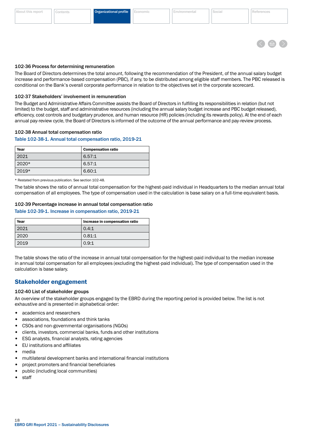

#### <span id="page-19-0"></span>102-36 Process for determining remuneration

The Board of Directors determines the total amount, following the recommendation of the President, of the annual salary budget increase and performance-based compensation (PBC), if any, to be distributed among eligible staff members. The PBC released is conditional on the Bank's overall corporate performance in relation to the objectives set in the corporate scorecard.

#### 102-37 Stakeholders' involvement in remuneration

The Budget and Administrative Affairs Committee assists the Board of Directors in fulfilling its responsibilities in relation (but not limited) to the budget, staff and administrative resources (including the annual salary budget increase and PBC budget released), efficiency, cost controls and budgetary prudence, and human resource (HR) policies (including its rewards policy). At the end of each annual pay-review cycle, the Board of Directors is informed of the outcome of the annual performance and pay-review process.

#### 102-38 Annual total compensation ratio

#### Table 102-38-1. Annual total compensation ratio, 2019-21

| Year    | <b>Compensation ratio</b> |
|---------|---------------------------|
| 2021    | 6.57:1                    |
| $2020*$ | 6.57:1                    |
| $2019*$ | 6.60:1                    |

\* Restated from previous publication. See section 102-48.

The table shows the ratio of annual total compensation for the highest-paid individual in Headquarters to the median annual total compensation of all employees. The type of compensation used in the calculation is base salary on a full-time equivalent basis.

#### 102-39 Percentage increase in annual total compensation ratio

#### Table 102-39-1. Increase in compensation ratio, 2019-21

| Year | Increase in compensation ratio |
|------|--------------------------------|
| 2021 | 0.4:1                          |
| 2020 | 0.81:1                         |
| 2019 | 0.9:1                          |

The table shows the ratio of the increase in annual total compensation for the highest-paid individual to the median increase in annual total compensation for all employees (excluding the highest-paid individual). The type of compensation used in the calculation is base salary.

# Stakeholder engagement

#### 102-40 List of stakeholder groups

An overview of the stakeholder groups engaged by the EBRD during the reporting period is provided below. The list is not exhaustive and is presented in alphabetical order:

- academics and researchers
- associations, foundations and think tanks
- CSOs and non-governmental organisations (NGOs)
- clients, investors, commercial banks, funds and other institutions
- ESG analysts, financial analysts, rating agencies
- EU institutions and affiliates
- media
- multilateral development banks and international financial institutions
- project promoters and financial beneficiaries
- public (including local communities)
- staff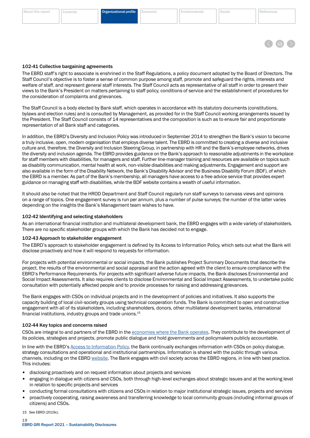

#### <span id="page-20-0"></span>102-41 Collective bargaining agreements

The EBRD staff's right to associate is enshrined in the Staff Regulations, a policy document adopted by the Board of Directors. The Staff Council's objective is to foster a sense of common purpose among staff, promote and safeguard the rights, interests and welfare of staff, and represent general staff interests. The Staff Council acts as representative of all staff in order to present their views to the Bank's President on matters pertaining to staff policy, conditions of service and the establishment of procedures for the consideration of complaints and grievances.

The Staff Council is a body elected by Bank staff, which operates in accordance with its statutory documents (constitutions, bylaws and election rules) and is consulted by Management, as provided for in the Staff Council working arrangements issued by the President. The Staff Council consists of 14 representatives and the composition is such as to ensure fair and proportionate representation of all Bank staff and categories.

In addition, the EBRD's Diversity and Inclusion Policy was introduced in September 2014 to strengthen the Bank's vision to become a truly inclusive, open, modern organisation that employs diverse talent. The EBRD is committed to creating a diverse and inclusive culture and, therefore, the Diversity and Inclusion Steering Group, in partnership with HR and the Bank's employee networks, drives the diversity and inclusion agenda. The EBRD provides guidance on the Bank's approach to reasonable adjustments in the workplace for staff members with disabilities, for managers and staff. Further line-manager training and resources are available on topics such as disability communication, mental health at work, non-visible disabilities and making adjustments. Engagement and support are also available in the form of the Disability Network, the Bank's Disability Advisor and the Business Disability Forum (BDF), of which the EBRD is a member. As part of the Bank's membership, all managers have access to a free advice service that provides expert guidance on managing staff with disabilities, while the BDF website contains a wealth of useful information.

It should also be noted that the HROD Department and Staff Council regularly run staff surveys to canvass views and opinions on a range of topics. One engagement survey is run per annum, plus a number of pulse surveys; the number of the latter varies depending on the insights the Bank's Management team wishes to have.

#### 102-42 Identifying and selecting stakeholders

As an international financial institution and multilateral development bank, the EBRD engages with a wide variety of stakeholders. There are no specific stakeholder groups with which the Bank has decided not to engage.

#### 102-43 Approach to stakeholder engagement

The EBRD's approach to stakeholder engagement is defined by its Access to Information Policy, which sets out what the Bank will disclose proactively and how it will respond to requests for information.

For projects with potential environmental or social impacts, the Bank publishes Project Summary Documents that describe the project, the results of the environmental and social appraisal and the action agreed with the client to ensure compliance with the EBRD's Performance Requirements. For projects with significant adverse future impacts, the Bank discloses Environmental and Social Impact Assessments. It also requires clients to disclose Environmental and Social Impact Assessments, to undertake public consultation with potentially affected people and to provide processes for raising and addressing grievances.

The Bank engages with CSOs on individual projects and in the development of policies and initiatives. It also supports the capacity building of local civil-society groups using technical cooperation funds. The Bank is committed to open and constructive engagement with all of its stakeholders, including shareholders, donors, other multilateral development banks, international financial institutions, industry groups and trade unions.15

#### 102-44 Key topics and concerns raised

CSOs are integral to and partners of the EBRD in the [economies where the Bank operates](https://www.ebrd.com/where-we-are.html). They contribute to the development of its policies, strategies and projects, promote public dialogue and hold governments and policymakers publicly accountable.

In line with the EBRD's [Access to Information Policy](https://www.ebrd.com/what-we-do/strategies-and-policies/access-to-information-policy.html), the Bank continually exchanges information with CSOs on policy dialogue, strategy consultations and operational and institutional partnerships. Information is shared with the public through various channels, including on the EBRD [website.](https://www.ebrd.com/who-we-are/civil-society/news-and-events.html) The Bank engages with civil society across the EBRD regions, in line with best practice. This includes:

- disclosing proactively and on request information about projects and services
- engaging in dialogue with citizens and CSOs, both through high-level exchanges about strategic issues and at the working level in relation to specific projects and services
- conducting formal consultations with citizens and CSOs in relation to major institutional strategic issues, projects and services
- proactively cooperating, raising awareness and transferring knowledge to local community groups (including informal groups of citizens) and CSOs.

15 See EBRD (2019c).

19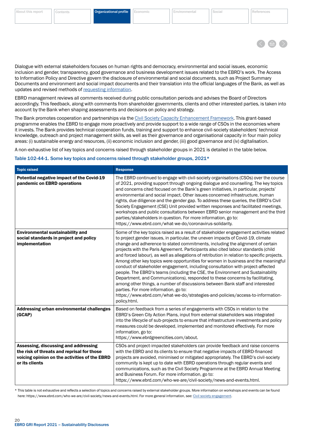

Dialogue with external stakeholders focuses on human rights and democracy, environmental and social issues, economic inclusion and gender, transparency, good governance and business development issues related to the EBRD's work. The Access to Information Policy and Directive govern the disclosure of environmental and social documents, such as Project Summary Documents and environment and social impact documents and their translation into the official languages of the Bank, as well as updates and revised methods of [requesting information.](https://www.ebrd.com/who-we-are/civil-society-engagement/contact.html)

EBRD management reviews all comments received during public consultation periods and advises the Board of Directors accordingly. This feedback, along with comments from shareholder governments, clients and other interested parties, is taken into account by the Bank when shaping assessments and decisions on policy and strategy.

The Bank promotes cooperation and partnerships via the [Civil Society Capacity Enhancement Framework.](https://www.ebrd.com/who-we-are/civil-society-capacity-enhancement.html) This grant-based programme enables the EBRD to engage more proactively and provide support to a wide range of CSOs in the economies where it invests. The Bank provides technical cooperation funds, training and support to enhance civil-society stakeholders' technical knowledge, outreach and project management skills, as well as their governance and organisational capacity in four main policy areas: (i) sustainable energy and resources, (ii) economic inclusion and gender, (iii) good governance and (iv) digitalisation.

A non-exhaustive list of key topics and concerns raised through stakeholder groups in 2021 is detailed in the table below.

#### Table 102-44-1. Some key topics and concerns raised through stakeholder groups, 2021\*

| <b>Topic raised</b>                                                                                                                                   | <b>Response</b>                                                                                                                                                                                                                                                                                                                                                                                                                                                                                                                                                                                                                                                                                                                                                                                                                                                                                                                                                                                                            |
|-------------------------------------------------------------------------------------------------------------------------------------------------------|----------------------------------------------------------------------------------------------------------------------------------------------------------------------------------------------------------------------------------------------------------------------------------------------------------------------------------------------------------------------------------------------------------------------------------------------------------------------------------------------------------------------------------------------------------------------------------------------------------------------------------------------------------------------------------------------------------------------------------------------------------------------------------------------------------------------------------------------------------------------------------------------------------------------------------------------------------------------------------------------------------------------------|
| Potential negative impact of the Covid-19<br>pandemic on EBRD operations                                                                              | The EBRD continued to engage with civil-society organisations (CSOs) over the course<br>of 2021, providing support through ongoing dialogue and counselling. The key topics<br>and concerns cited focused on the Bank's green initiatives, in particular, projects'<br>environmental and social impact. Other issues concerned infrastructure, human<br>rights, due diligence and the gender gap. To address these queries, the EBRD's Civil<br>Society Engagement (CSE) Unit provided written responses and facilitated meetings,<br>workshops and public consultations between EBRD senior management and the third<br>parties/stakeholders in question. For more information, go to:<br>https://www.ebrd.com/what-we-do/coronavirus-solidarity.                                                                                                                                                                                                                                                                         |
| <b>Environmental sustainability and</b><br>social standards in project and policy<br>implementation                                                   | Some of the key topics raised as a result of stakeholder engagement activities related<br>to project gender issues, in particular, the uneven impacts of Covid-19, climate<br>change and adherence to stated commitments, including the alignment of certain<br>projects with the Paris Agreement. Participants also cited labour standards (child<br>and forced labour), as well as allegations of retribution in relation to specific projects.<br>Among other key topics were opportunities for women in business and the meaningful<br>conduct of stakeholder engagement, including consultation with project-affected<br>people. The EBRD's teams (including the CSE, the Environment and Sustainability<br>Department, and Communications), responded to these concerns by facilitating,<br>among other things, a number of discussions between Bank staff and interested<br>parties. For more information, go to:<br>https://www.ebrd.com/what-we-do/strategies-and-policies/access-to-information-<br>policy.html. |
| Addressing urban environmental challenges<br>(GCAP)                                                                                                   | Based on feedback from a series of engagements with CSOs in relation to the<br>EBRD's Green City Action Plans, input from external stakeholders was integrated<br>into the lifecycle of sub-projects to ensure that infrastructure investments and policy<br>measures could be developed, implemented and monitored effectively. For more<br>information, go to:<br>https://www.ebrdgreencities.com/about.                                                                                                                                                                                                                                                                                                                                                                                                                                                                                                                                                                                                                 |
| Assessing, discussing and addressing<br>the risk of threats and reprisal for those<br>voicing opinion on the activities of the EBRD<br>or its clients | CSOs and project-impacted stakeholders can provide feedback and raise concerns<br>with the EBRD and its clients to ensure that negative impacts of EBRD-financed<br>projects are avoided, minimised or mitigated appropriately. The EBRD's civil-society<br>community is kept up to date with EBRD operations through regular events and<br>communications, such as the Civil Society Programme at the EBRD Annual Meeting<br>and Business Forum. For more information, go to:<br>https://www.ebrd.com/who-we-are/civil-society/news-and-events.html.                                                                                                                                                                                                                                                                                                                                                                                                                                                                      |

\* This table is not exhaustive and reflects a selection of topics and concerns raised by external stakeholder groups. More information on workshops and events can be found here: https://www.ebrd.com/who-we-are/civil-society/news-and-events.html. For more general information, see: [Civil society engagement](https://www.ebrd.com/who-we-are/civil-society-overview.html).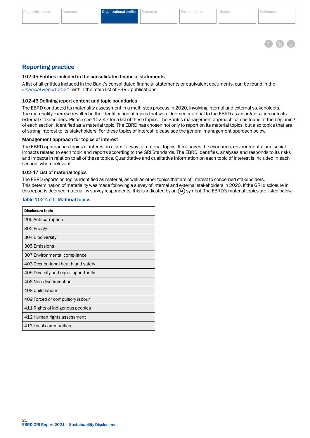#### <span id="page-22-0"></span>[About this report](#page-2-0) [Contents](#page-3-0) **Organizational profile** [Economic](#page-24-0) [Environmental](#page-29-0) [Social](#page-34-0) [References](#page-48-0)



# Reporting practice

#### 102-45 Entities included in the consolidated financial statements

A list of all entities included in the Bank's consolidated financial statements or equivalent documents, can be found in the *[Financial Report 2021](https://www.ebrd.com/news/publications/financial-report/financial-report-2021.html)*, within the main list of EBRD publications.

#### 102-46 Defining report content and topic boundaries

The EBRD conducted its materiality assessment in a multi-step process in 2020, involving internal and external stakeholders. The materiality exercise resulted in the identification of topics that were deemed material to the EBRD as an organisation or to its external stakeholders. Please see 102-47 for a list of these topics. The Bank's management approach can be found at the beginning of each section, identified as a material topic. The EBRD has chosen not only to report on its material topics, but also topics that are of strong interest to its stakeholders. For these topics of interest, please see the general management approach below.

#### Management approach for topics of interest

The EBRD approaches topics of interest in a similar way to material topics. It manages the economic, environmental and social impacts related to each topic and reports according to the GRI Standards. The EBRD identifies, analyses and responds to its risks and impacts in relation to all of these topics. Quantitative and qualitative information on each topic of interest is included in each section, where relevant.

#### 102-47 List of material topics

The EBRD reports on topics identified as material, as well as other topics that are of interest to concerned stakeholders. This determination of materiality was made following a survey of internal and external stakeholders in 2020. If the GRI disclosure in this report is deemed material by survey respondents, this is indicated by an  $(M)$  symbol. The EBRD's material topics are listed below.

#### Table 102-47-1. Material topics

| <b>Disclosure topic</b>             |
|-------------------------------------|
| 205 Anti-corruption                 |
| 302 Energy                          |
| 304 Biodiversity                    |
| 305 Emissions                       |
| 307 Environmental compliance        |
| 403 Occupational health and safety  |
| 405 Diversity and equal opportunity |
| 406 Non-discrimination              |
| 408 Child labour                    |
| 409 Forced or compulsory labour     |
| 411 Rights of indigenous peoples    |
| 412 Human rights assessment         |
| 413 Local communities               |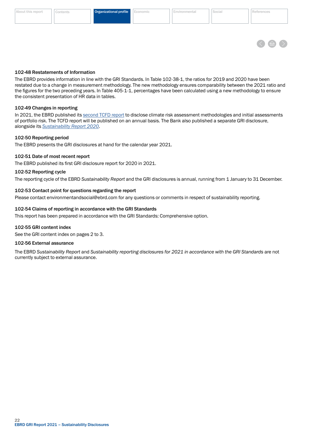#### 102-56 External assurance

102-55 GRI content index

The EBRD *Sustainability Report* and *Sustainability reporting disclosures for 2021 in accordance with the GRI Standards* are not currently subject to external assurance.

 $22$ EBRD GRI Report 2021 – Sustainability Disclosures

#### 102-48 Restatements of Information

The EBRD provides information in line with the GRI Standards. In Table 102-38-1, the ratios for 2019 and 2020 have been restated due to a change in measurement methodology. The new methodology ensures comparability between the 2021 ratio and the figures for the two preceding years. In Table 405-1-1, percentages have been calculated using a new methodology to ensure the consistent presentation of HR data in tables.

#### 102-49 Changes in reporting

In 2021, the EBRD published its [second TCFD report](https://www.ebrd.com/news/2021/ebrds-second-tcfd-report-discloses-new-work-on-climate-risk-assessment-.html) to disclose climate risk assessment methodologies and initial assessments of portfolio risk. The TCFD report will be published on an annual basis. The Bank also published a separate GRI disclosure, alongside its *[Sustainability Report](https://www.ebrd.com/news/publications/sustainability-report/ebrd-sustainability-report-2020.html) 2020*.

# 102-50 Reporting period

The EBRD presents the GRI disclosures at hand for the calendar year 2021.

### 102-51 Date of most recent report

The EBRD published its first GRI disclosure report for 2020 in 2021.

102-54 Claims of reporting in accordance with the GRI Standards

This report has been prepared in accordance with the GRI Standards: Comprehensive option.

102-53 Contact point for questions regarding the report

# 102-52 Reporting cycle

The reporting cycle of the EBRD *Sustainability Report* and the GRI disclosures is annual, running from 1 January to 31 December.

Please contact environmentandsocial@ebrd.com for any questions or comments in respect of sustainability reporting.

<span id="page-23-0"></span>

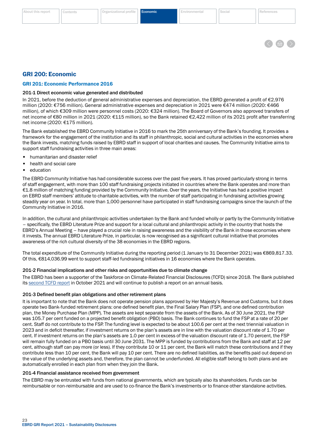

# <span id="page-24-0"></span>GRI 200: Economic

#### GRI 201: Economic Performance 2016

#### 201-1 Direct economic value generated and distributed

In 2021, before the deduction of general administrative expenses and depreciation, the EBRD generated a profit of €2,976 million (2020: €756 million). General administrative expenses and depreciation in 2021 were €474 million (2020: €466 million), of which €309 million were personnel costs (2020: €324 million). The Board of Governors also approved transfers of net income of €80 million in 2021 (2020: €115 million), so the Bank retained €2,422 million of its 2021 profit after transferring net income (2020: €175 million).

The Bank established the EBRD Community Initiative in 2016 to mark the 25th anniversary of the Bank's founding. It provides a framework for the engagement of the institution and its staff in philanthropic, social and cultural activities in the economies where the Bank invests, matching funds raised by EBRD staff in support of local charities and causes. The Community Initiative aims to support staff fundraising activities in three main areas:

- humanitarian and disaster relief
- health and social care
- education

The EBRD Community Initiative has had considerable success over the past five years. It has proved particularly strong in terms of staff engagement, with more than 100 staff fundraising projects initiated in countries where the Bank operates and more than €1.8 million of matching funding provided by the Community Initiative. Over the years, the Initiative has had a positive impact on EBRD staff members' attitude to charitable activities, with the number of staff participating in fundraising activities growing steadily year on year. In total, more than 1,000 personnel have participated in staff fundraising campaigns since the launch of the Community Initiative in 2016.

In addition, the cultural and philanthropic activities undertaken by the Bank and funded wholly or partly by the Community Initiative – specifically, the EBRD Literature Prize and support for a local cultural and philanthropic activity in the country that hosts the EBRD's Annual Meeting – have played a crucial role in raising awareness and the visibility of the Bank in those economies where it invests. The annual EBRD Literature Prize, in particular, is now recognised as a significant cultural initiative that promotes awareness of the rich cultural diversity of the 38 economies in the EBRD regions.

The total expenditure of the Community Initiative during the reporting period (1 January to 31 December 2021) was €869,817.33. Of this, €814,036.99 went to support staff-led fundraising initiatives in 16 economies where the Bank operates.

#### 201-2 Financial implications and other risks and opportunities due to climate change

The EBRD has been a supporter of the Taskforce on Climate-Related Financial Disclosures (TCFD) since 2018. The Bank published its [second TCFD report](https://www.ebrd.com/news/2021/ebrds-second-tcfd-report-discloses-new-work-on-climate-risk-assessment-.html) in October 2021 and will continue to publish a report on an annual basis.

#### 201-3 Defined benefit plan obligations and other retirement plans

It is important to note that the Bank does not operate pension plans approved by Her Majesty's Revenue and Customs, but it does operate two Bank-funded retirement plans: one defined benefit plan, the Final Salary Plan (FSP), and one defined contribution plan, the Money Purchase Plan (MPP). The assets are kept separate from the assets of the Bank. As of 30 June 2021, the FSP was 105.7 per cent funded on a projected benefit obligation (PBO) basis. The Bank continues to fund the FSP at a rate of 20 per cent. Staff do not contribute to the FSP. The funding level is expected to be about 100.6 per cent at the next triennial valuation in 2023 and in deficit thereafter, if investment returns on the plan's assets are in line with the valuation discount rate of 1.70 per cent. If investment returns on the plan's assets are 1.0 per cent in excess of the valuation discount rate of 1.70 percent, the FSP will remain fully funded on a PBO basis until 30 June 2031. The MPP is funded by contributions from the Bank and staff at 12 per cent, although staff can pay more (or less). If they contribute 10 or 11 per cent, the Bank will match these contributions and if they contribute less than 10 per cent, the Bank will pay 10 per cent. There are no defined liabilities, as the benefits paid out depend on the value of the underlying assets and, therefore, the plan cannot be underfunded. All eligible staff belong to both plans and are automatically enrolled in each plan from when they join the Bank.

#### 201-4 Financial assistance received from government

The EBRD may be entrusted with funds from national governments, which are typically also its shareholders. Funds can be reimbursable or non-reimbursable and are used to co-finance the Bank's investments or to finance other standalone activities.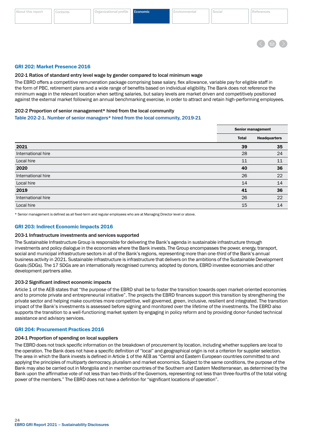

#### <span id="page-25-0"></span>GRI 202: Market Presence 2016

#### 202-1 Ratios of standard entry level wage by gender compared to local minimum wage

The EBRD offers a competitive remuneration package comprising base salary, flex allowance, variable pay for eligible staff in the form of PBC, retirement plans and a wide range of benefits based on individual eligibility. The Bank does not reference the minimum wage in the relevant location when setting salaries, but salary levels are market driven and competitively positioned against the external market following an annual benchmarking exercise, in order to attract and retain high-performing employees.

#### 202-2 Proportion of senior management\* hired from the local community

#### Table 202-2-1. Number of senior managers\* hired from the local community, 2019-21

| <b>Senior management</b> |                     |
|--------------------------|---------------------|
| <b>Total</b>             | <b>Headquarters</b> |
| 39                       | 35                  |
| 28                       | 24                  |
| 11                       | 11                  |
| 40                       | 36                  |
| 26                       | 22                  |
| 14                       | 14                  |
| 41                       | 36                  |
| 26                       | 22                  |
| 15                       | 14                  |
|                          |                     |

\* Senior management is defined as all fixed-term and regular employees who are at Managing Director level or above.

#### GRI 203: Indirect Economic Impacts 2016

#### 203-1 Infrastructure investments and services supported

The Sustainable Infrastructure Group is responsible for delivering the Bank's agenda in sustainable infrastructure through investments and policy dialogue in the economies where the Bank invests. The Group encompasses the power, energy, transport, social and municipal infrastructure sectors in all of the Bank's regions, representing more than one-third of the Bank's annual business activity in 2021. Sustainable infrastructure is infrastructure that delivers on the ambitions of the Sustainable Development Goals (SDGs). The 17 SDGs are an internationally recognised currency, adopted by donors, EBRD investee economies and other development partners alike.

#### 203-2 Significant indirect economic impacts

Article 1 of the AEB states that "the purpose of the EBRD shall be to foster the transition towards open market-oriented economies and to promote private and entrepreneurial initiative". The projects the EBRD finances support this transition by strengthening the private sector and helping make countries more competitive, well governed, green, inclusive, resilient and integrated. The transition impact of the Bank's investments is assessed before signing and monitored over the lifetime of the investments. The EBRD also supports the transition to a well-functioning market system by engaging in policy reform and by providing donor-funded technical assistance and advisory services.

#### GRI 204: Procurement Practices 2016

#### 204-1 Proportion of spending on local suppliers

The EBRD does not track specific information on the breakdown of procurement by location, including whether suppliers are local to the operation. The Bank does not have a specific definition of "local" and geographical origin is not a criterion for supplier selection. The area in which the Bank invests is defined in Article 1 of the AEB as "Central and Eastern European countries committed to and applying the principles of multiparty democracy, pluralism and market economics. Subject to the same conditions, the purpose of the Bank may also be carried out in Mongolia and in member countries of the Southern and Eastern Mediterranean, as determined by the Bank upon the affirmative vote of not less than two-thirds of the Governors, representing not less than three-fourths of the total voting power of the members." The EBRD does not have a definition for "significant locations of operation".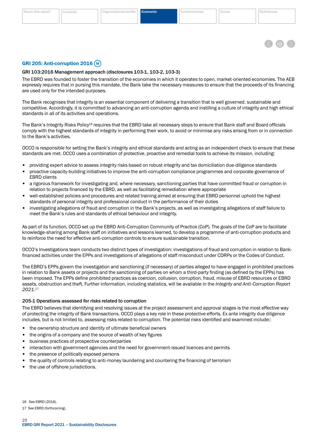

### <span id="page-26-0"></span>GRI 205: Anti-corruption 2016 (M)

#### GRI 103:2016 Management approach (disclosures 103-1, 103-2, 103-3)

The EBRD was founded to foster the transition of the economies in which it operates to open, market-oriented economies. The AEB expressly requires that in pursing this mandate, the Bank take the necessary measures to ensure that the proceeds of its financing are used only for the intended purposes.

The Bank recognises that integrity is an essential component of delivering a transition that is well governed, sustainable and competitive. Accordingly, it is committed to advancing an anti-corruption agenda and instilling a culture of integrity and high ethical standards in all of its activities and operations.

The Bank's Integrity Risks Policy<sup>16</sup> requires that the EBRD take all necessary steps to ensure that Bank staff and Board officials comply with the highest standards of integrity in performing their work, to avoid or minimise any risks arising from or in connection to the Bank's activities.

OCCO is responsible for setting the Bank's integrity and ethical standards and acting as an independent check to ensure that these standards are met. OCCO uses a combination of protective, proactive and remedial tools to achieve its mission, including:

- providing expert advice to assess integrity risks based on robust integrity and tax domiciliation due-diligence standards
- proactive capacity-building initiatives to improve the anti-corruption compliance programmes and corporate governance of EBRD clients
- a rigorous framework for investigating and, where necessary, sanctioning parties that have committed fraud or corruption in relation to projects financed by the EBRD, as well as facilitating remediation where appropriate
- well-established policies and procedures and related training aimed at ensuring that EBRD personnel uphold the highest standards of personal integrity and professional conduct in the performance of their duties
- investigating allegations of fraud and corruption in the Bank's projects, as well as investigating allegations of staff failure to meet the Bank's rules and standards of ethical behaviour and integrity.

As part of its function, OCCO set up the EBRD Anti-Corruption Community of Practice (CoP). The goals of the CoP are to facilitate knowledge-sharing among Bank staff on initiatives and lessons learned, to develop a programme of anti-corruption products and to reinforce the need for effective anti-corruption controls to ensure sustainable transition.

OCCO's Investigations team conducts two distinct types of investigation: investigations of fraud and corruption in relation to Bankfinanced activities under the EPPs and investigations of allegations of staff misconduct under CDRPs or the Codes of Conduct.

The EBRD's EPPs govern the investigation and sanctioning (if necessary) of parties alleged to have engaged in prohibited practices in relation to Bank assets or projects and the sanctioning of parties on whom a third-party finding (as defined by the EPPs) has been imposed. The EPPs define prohibited practices as coercion, collusion, corruption, fraud, misuse of EBRD resources or EBRD assets, obstruction and theft. Further information, including statistics, will be available in the *Integrity and Anti-Corruption Report 2021*. 17

#### 205-1 Operations assessed for risks related to corruption

The EBRD believes that identifying and resolving issues at the project assessment and approval stages is the most effective way of protecting the integrity of Bank transactions. OCCO plays a key role in these protective efforts. Ex ante integrity due diligence includes, but is not limited to, assessing risks related to corruption. The potential risks identified and examined include::

- the ownership structure and identity of ultimate beneficial owners
- the origins of a company and the source of wealth of key figures
- business practices of prospective counterparties
- interaction with government agencies and the need for government-issued licences and permits
- the presence of politically exposed persons
- the quality of controls relating to anti-money laundering and countering the financing of terrorism
- the use of offshore jurisdictions.

16 See EBRD (2016).

17 See EBRD (forthcoming).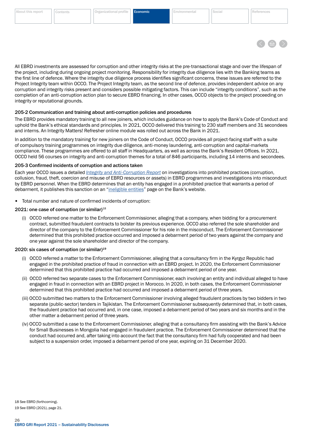

<span id="page-27-0"></span>All EBRD investments are assessed for corruption and other integrity risks at the pre-transactional stage and over the lifespan of the project, including during ongoing project monitoring. Responsibility for integrity due diligence lies with the Banking teams as the first line of defence. Where the integrity due diligence process identifies significant concerns, these issues are referred to the Project Integrity team within OCCO. The Project Integrity team, as the second line of defence, provides independent advice on any corruption and integrity risks present and considers possible mitigating factors. This can include "integrity conditions", such as the completion of an anti-corruption action plan to secure EBRD financing. In other cases, OCCO objects to the project proceeding on integrity or reputational grounds.

#### 205-2 Communication and training about anti-corruption policies and procedures

The EBRD provides mandatory training to all new joiners, which includes guidance on how to apply the Bank's Code of Conduct and uphold the Bank's ethical standards and principles. In 2021, OCCO delivered this training to 230 staff members and 31 secondees and interns. An Integrity Matters! Refresher online module was rolled out across the Bank in 2021.

In addition to the mandatory training for new joiners on the Code of Conduct, OCCO provides all project-facing staff with a suite of compulsory training programmes on integrity due diligence, anti-money laundering, anti-corruption and capital-markets compliance. These programmes are offered to all staff in Headquarters, as well as across the Bank's Resident Offices. In 2021, OCCO held 56 courses on integrity and anti-corruption themes for a total of 846 participants, including 14 interns and secondees.

#### 205-3 Confirmed incidents of corruption and actions taken

Each year OCCO issues a detailed *[Integrity and Anti-Corruption Report](https://www.ebrd.com/integrity-and-compliance.html)* on investigations into prohibited practices (corruption, collusion, fraud, theft, coercion and misuse of EBRD resources or assets) in EBRD programmes and investigations into misconduct by EBRD personnel. When the EBRD determines that an entity has engaged in a prohibited practice that warrants a period of debarment, it publishes this sanction on an ["ineligible entities](https://www.ebrd.com/ineligible-entities.html)" page on the Bank's website.

• Total number and nature of confirmed incidents of corruption:

#### 2021: one case of corruption (or similar)<sup>18</sup>

(i) OCCO referred one matter to the Enforcement Commissioner, alleging that a company, when bidding for a procurement contract, submitted fraudulent contracts to bolster its previous experience. OCCO also referred the sole shareholder and director of the company to the Enforcement Commissioner for his role in the misconduct. The Enforcement Commissioner determined that this prohibited practice occurred and imposed a debarment period of two years against the company and one year against the sole shareholder and director of the company.

#### 2020: six cases of corruption (or similar)<sup>19</sup>

- (i) OCCO referred a matter to the Enforcement Commissioner, alleging that a consultancy firm in the Kyrgyz Republic had engaged in the prohibited practice of fraud in connection with an EBRD project. In 2020, the Enforcement Commissioner determined that this prohibited practice had occurred and imposed a debarment period of one year.
- (ii) OCCO referred two separate cases to the Enforcement Commissioner, each involving an entity and individual alleged to have engaged in fraud in connection with an EBRD project in Morocco. In 2020, in both cases, the Enforcement Commissioner determined that this prohibited practice had occurred and imposed a debarment period of three years.
- (iii) OCCO submitted two matters to the Enforcement Commissioner involving alleged fraudulent practices by two bidders in two separate (public-sector) tenders in Tajikistan. The Enforcement Commissioner subsequently determined that, in both cases, the fraudulent practice had occurred and, in one case, imposed a debarment period of two years and six months and in the other matter a debarment period of three years.
- (iv) OCCO submitted a case to the Enforcement Commissioner, alleging that a consultancy firm assisting with the Bank's Advice for Small Businesses in Mongolia had engaged in fraudulent practice. The Enforcement Commissioner determined that the conduct had occurred and, after taking into account the fact that the consultancy firm had fully cooperated and had been subject to a suspension order, imposed a debarment period of one year, expiring on 31 December 2020.

18 See EBRD (forthcoming). 19 See EBRD (2021), page 21.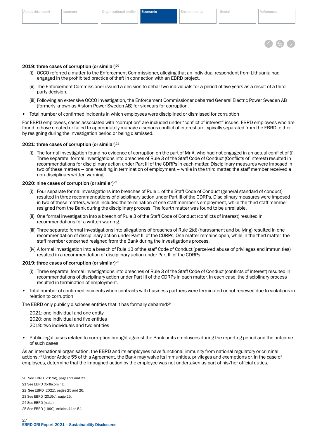

#### 2019: three cases of corruption (or similar)<sup>20</sup>

- (i) OCCO referred a matter to the Enforcement Commissioner, alleging that an individual respondent from Lithuania had engaged in the prohibited practice of theft in connection with an EBRD project.
- (ii) The Enforcement Commissioner issued a decision to debar two individuals for a period of five years as a result of a thirdparty decision.
- (iii) Following an extensive OCCO investigation, the Enforcement Commissioner debarred General Electric Power Sweden AB (formerly known as Alstom Power Sweden AB) for six years for corruption.
- Total number of confirmed incidents in which employees were disciplined or dismissed for corruption

For EBRD employees, cases associated with "corruption" are included under "conflict of interest" issues. EBRD employees who are found to have created or failed to appropriately manage a serious conflict of interest are typically separated from the EBRD, either by resigning during the investigation period or being dismissed.

# 2021: three cases of corruption (or similar) $21$

(i) The formal investigation found no evidence of corruption on the part of Mr A, who had not engaged in an actual conflict of (i) Three separate, formal investigations into breaches of Rule 3 of the Staff Code of Conduct (Conflicts of Interest) resulted in recommendations for disciplinary action under Part III of the CDRPs in each matter. Disciplinary measures were imposed in two of these matters – one resulting in termination of employment – while in the third matter, the staff member received a non-disciplinary written warning.

### 2020: nine cases of corruption (or similar)<sup>22</sup>

- (i) Four separate formal investigations into breaches of Rule 1 of the Staff Code of Conduct (general standard of conduct) resulted in three recommendations of disciplinary action under Part III of the CDRPs. Disciplinary measures were imposed in two of these matters, which included the termination of one staff member's employment, while the third staff member resigned from the Bank during the disciplinary process. The fourth matter was found to be unreliable.
- (ii) One formal investigation into a breach of Rule 3 of the Staff Code of Conduct (conflicts of interest) resulted in recommendations for a written warning.
- (iii) Three separate formal investigations into allegations of breaches of Rule 2(d) (harassment and bullying) resulted in one recommendation of disciplinary action under Part III of the CDRPs. One matter remains open, while in the third matter, the staff member concerned resigned from the Bank during the investigations process.
- (iv) A formal investigation into a breach of Rule 13 of the staff Code of Conduct (perceived abuse of privileges and immunities) resulted in a recommendation of disciplinary action under Part III of the CDRPs.

#### 2019: three cases of corruption (or similar) $^{23}$

- (i) Three separate, formal investigations into breaches of Rule 3 of the Staff Code of Conduct (conflicts of interest) resulted in recommendations of disciplinary action under Part III of the CDRPs in each matter. In each case, the disciplinary process resulted in termination of employment.
- Total number of confirmed incidents when contracts with business partners were terminated or not renewed due to violations in relation to corruption

The EBRD only publicly discloses entities that it has formally debarred:<sup>24</sup>

2021: one individual and one entity 2020: one individual and five entities 2019: two individuals and two entities

• Public legal cases related to corruption brought against the Bank or its employees during the reporting period and the outcome of such cases

As an international organisation, the EBRD and its employees have functional immunity from national regulatory or criminal actions.25 Under Article 55 of this Agreement, the Bank may waive its immunities, privileges and exemptions or, in the case of employees, determine that the impugned action by the employee was not undertaken as part of his/her official duties.

20 See EBRD (2019d), pages 21 and 23. 21 See EBRD (forthcoming). 22 See EBRD (2021), pages 25 and 26. 23 See EBRD (2019d), page 25. 24 See EBRD (n.d.a).

<sup>25</sup> See EBRD (1990), Articles 44 to 54.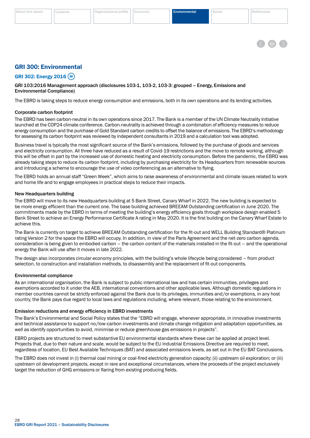

### <span id="page-29-0"></span>GRI 300: Environmental

GRI 302: Energy 2016 M

GRI 103:2016 Management approach (disclosures 103-1, 103-2, 103-3: grouped – Energy, Emissions and Environmental Compliance)

The EBRD is taking steps to reduce energy consumption and emissions, both in its own operations and its lending activities.

#### Corporate carbon footprint

The EBRD has been carbon-neutral in its own operations since 2017. The Bank is a member of the UN Climate Neutrality Initiative launched at the COP24 climate conference. Carbon-neutrality is achieved through a combination of efficiency measures to reduce energy consumption and the purchase of Gold Standard carbon credits to offset the balance of emissions. The EBRD's methodology for assessing its carbon footprint was reviewed by independent consultants in 2019 and a calculation tool was adopted.

Business travel is typically the most significant source of the Bank's emissions, followed by the purchase of goods and services and electricity consumption. All three have reduced as a result of Covid-19 restrictions and the move to remote working, although this will be offset in part by the increased use of domestic heating and electricity consumption. Before the pandemic, the EBRD was already taking steps to reduce its carbon footprint, including by purchasing electricity for its Headquarters from renewable sources and introducing a scheme to encourage the use of video conferencing as an alternative to flying.

The EBRD holds an annual staff "Green Week", which aims to raise awareness of environmental and climate issues related to work and home life and to engage employees in practical steps to reduce their impacts.

#### New Headquarters building

The EBRD will move to its new Headquarters building at 5 Bank Street, Canary Wharf in 2022. The new building is expected to be more energy efficient than the current one. The base building achieved BREEAM Outstanding certification in June 2020. The commitments made by the EBRD in terms of meeting the building's energy efficiency goals through workplace design enabled 5 Bank Street to achieve an Energy Performance Certificate A rating in May 2020. It is the first building on the Canary Wharf Estate to achieve this.

The Bank is currently on target to achieve BREEAM Outstanding certification for the fit-out and WELL Building Standard® Platinum rating Version 2 for the space the EBRD will occupy. In addition, in view of the Paris Agreement and the net-zero carbon agenda, consideration is being given to embodied carbon – the carbon content of the materials installed in the fit-out – and the operational energy the Bank will use after it moves in late 2022.

The design also incorporates circular economy principles, with the building's whole lifecycle being considered – from product selection, to construction and installation methods, to disassembly and the replacement of fit-out components.

#### Environmental compliance

As an international organisation, the Bank is subject to public international law and has certain immunities, privileges and exemptions accorded to it under the AEB, international conventions and other applicable laws. Although domestic regulations in member countries cannot be strictly enforced against the Bank due to its privileges, immunities and/or exemptions, in any host country, the Bank pays due regard to local laws and regulations including, where relevant, those relating to the environment.

#### Emission reductions and energy efficiency in EBRD investments

The Bank's Environmental and Social Policy states that the "EBRD will engage, whenever appropriate, in innovative investments and technical assistance to support no/low-carbon investments and climate change mitigation and adaptation opportunities, as well as identify opportunities to avoid, minimise or reduce greenhouse gas emissions in projects".

EBRD projects are structured to meet substantive EU environmental standards where these can be applied at project level. Projects that, due to their nature and scale, would be subject to the EU Industrial Emissions Directive are required to meet, regardless of location, EU Best Available Techniques (BAT) and associated emissions levels, as set out in the EU BAT Conclusions.

The EBRD does not invest in (i) thermal coal mining or coal-fired electricity generation capacity; (ii) upstream oil exploration; or (iii) upstream oil development projects, except in rare and exceptional circumstances, where the proceeds of the project exclusively target the reduction of GHG emissions or flaring from existing producing fields.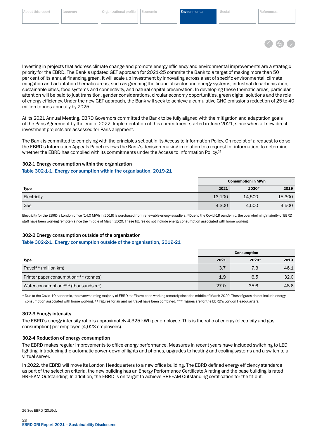

<span id="page-30-0"></span>Investing in projects that address climate change and promote energy efficiency and environmental improvements are a strategic priority for the EBRD. The Bank's updated GET approach for 2021-25 commits the Bank to a target of making more than 50 per cent of its annual financing green. It will scale up investment by innovating across a set of specific environmental, climate mitigation and adaptation thematic areas, such as greening the financial sector and energy systems, industrial decarbonisation, sustainable cities, food systems and connectivity, and natural capital preservation. In developing these thematic areas, particular attention will be paid to just transition, gender considerations, circular economy opportunities, green digital solutions and the role of energy efficiency. Under the new GET approach, the Bank will seek to achieve a cumulative GHG emissions reduction of 25 to 40 million tonnes annually by 2025.

At its 2021 Annual Meeting, EBRD Governors committed the Bank to be fully aligned with the mitigation and adaptation goals of the Paris Agreement by the end of 2022. Implementation of this commitment started in June 2021, since when all new direct investment projects are assessed for Paris alignment.

The Bank is committed to complying with the principles set out in its Access to Information Policy. On receipt of a request to do so, the EBRD's Information Appeals Panel reviews the Bank's decision-making in relation to a request for information, to determine whether the EBRD has complied with its commitments under the Access to Information Policy.<sup>26</sup>

#### 302-1 Energy consumption within the organization

#### Table 302-1-1. Energy consumption within the organisation, 2019-21

|             | <b>Consumption in MWh</b> |        |        |
|-------------|---------------------------|--------|--------|
| Type        | 2021                      | 2020*  | 2019   |
| Electricity | 13,100                    | 14,500 | 15,300 |
| Gas         | 4,300                     | 4,500  | 4,500  |

Electricity for the EBRD's London office (14.0 MWh in 2019) is purchased from renewable energy suppliers. \*Due to the Covid-19 pandemic, the overwhelming majority of EBRD staff have been working remotely since the middle of March 2020. These figures do not include energy consumption associated with home working.

#### 302-2 Energy consumption outside of the organization

#### Table 302-2-1. Energy consumption outside of the organisation, 2019-21

|                                          | <b>Consumption</b> |       |      |
|------------------------------------------|--------------------|-------|------|
| Type                                     | 2021               | 2020* | 2019 |
| Travel** (million $km$ )                 | 3.7                | 7.3   | 46.1 |
| Printer paper consumption*** (tonnes)    | 1.9                | 6.5   | 32.0 |
| Water consumption *** (thousands $m^3$ ) | 27.0               | 35.6  | 48.6 |

\* Due to the Covid-19 pandemic, the overwhelming majority of EBRD staff have been working remotely since the middle of March 2020. These figures do not include energy consumption associated with home working. \*\* Figures for air and rail travel have been combined. \*\*\* Figures are for the EBRD's London Headquarters.

#### 302-3 Energy intensity

The EBRD's energy intensity ratio is approximately 4,325 kWh per employee. This is the ratio of energy (electricity and gas consumption) per employee (4,023 employees).

#### 302-4 Reduction of energy consumption

The EBRD makes regular improvements to office energy performance. Measures in recent years have included switching to LED lighting, introducing the automatic power-down of lights and phones, upgrades to heating and cooling systems and a switch to a virtual server.

In 2022, the EBRD will move its London Headquarters to a new office building. The EBRD defined energy efficiency standards as part of the selection criteria, the new building has an Energy Performance Certificate A rating and the base building is rated BREEAM Outstanding. In addition, the EBRD is on target to achieve BREEAM Outstanding certification for the fit-out.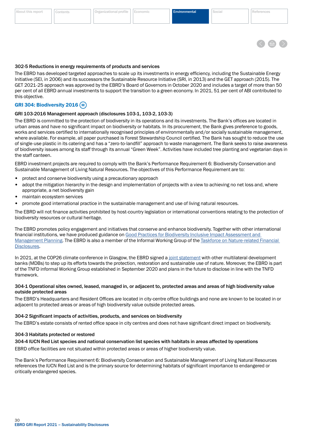### <span id="page-31-0"></span>302-5 Reductions in energy requirements of products and services

The EBRD has developed targeted approaches to scale up its investments in energy efficiency, including the Sustainable Energy Initiative (SEI, in 2006) and its successors the Sustainable Resource Initiative (SRI, in 2013) and the GET approach (2015). The GET 2021-25 approach was approved by the EBRD's Board of Governors in October 2020 and includes a target of more than 50 per cent of all EBRD annual investments to support the transition to a green economy. In 2021, 51 per cent of ABI contributed to this objective.

# **GRI 304: Biodiversity 2016 (M)**

# GRI 103-2016 Management approach (disclosures 103-1, 103-2, 103-3)

The EBRD is committed to the protection of biodiversity in its operations and its investments. The Bank's offices are located in urban areas and have no significant impact on biodiversity or habitats. In its procurement, the Bank gives preference to goods, works and services certified to internationally recognised principles of environmentally and/or socially sustainable management, where available. For example, all paper purchased is Forest Stewardship Council certified. The Bank has sought to reduce the use of single-use plastic in its catering and has a "zero-to-landfill" approach to waste management. The Bank seeks to raise awareness of biodiversity issues among its staff through its annual "Green Week". Activities have included tree planting and vegetarian days in the staff canteen.

EBRD investment projects are required to comply with the Bank's Performance Requirement 6: Biodiversity Conservation and Sustainable Management of Living Natural Resources. The objectives of this Performance Requirement are to:

- protect and conserve biodiversity using a precautionary approach
- adopt the mitigation hierarchy in the design and implementation of projects with a view to achieving no net loss and, where appropriate, a net biodiversity gain
- maintain ecosystem services
- promote good international practice in the sustainable management and use of living natural resources.

The EBRD will not finance activities prohibited by host-country legislation or international conventions relating to the protection of biodiversity resources or cultural heritage.

The EBRD promotes policy engagement and initiatives that conserve and enhance biodiversity. Together with other international financial institutions, we have produced guidance on [Good Practices for Biodiversity Inclusive Impact Assessment and](https://www.ebrd.com/who-we-are/our-values/environmental-and-social-policy/implementation.html)  [Management Planning.](https://www.ebrd.com/who-we-are/our-values/environmental-and-social-policy/implementation.html) The EBRD is also a member of the Informal Working Group of the [Taskforce on Nature-related Financial](https://tnfd.info/)  [Disclosures](https://tnfd.info/).

In 2021, at the COP26 climate conference in Glasgow, the EBRD signed a [joint statement](https://www.ebrd.com/sites/Satellite?c=Content&cid=1395301868658&d=&pagename=EBRD%2FContent%2FDownloadDocument) with other multilateral development banks (MDBs) to step up its efforts towards the protection, restoration and sustainable use of nature. Moreover, the EBRD is part of the TNFD informal Working Group established in September 2020 and plans in the future to disclose in line with the TNFD framework.

#### 304-1 Operational sites owned, leased, managed in, or adjacent to, protected areas and areas of high biodiversity value outside protected areas

The EBRD's Headquarters and Resident Offices are located in city-centre office buildings and none are known to be located in or adjacent to protected areas or areas of high biodiversity value outside protected areas.

#### 304-2 Significant impacts of activities, products, and services on biodiversity

The EBRD's estate consists of rented office space in city centres and does not have significant direct impact on biodiversity.

#### 304-3 Habitats protected or restored

# 304-4 IUCN Red List species and national conservation list species with habitats in areas affected by operations

EBRD office facilities are not situated within protected areas or areas of higher biodiversity value.

The Bank's Performance Requirement 6: Biodiversity Conservation and Sustainable Management of Living Natural Resources references the IUCN Red List and is the primary source for determining habitats of significant importance to endangered or critically endangered species.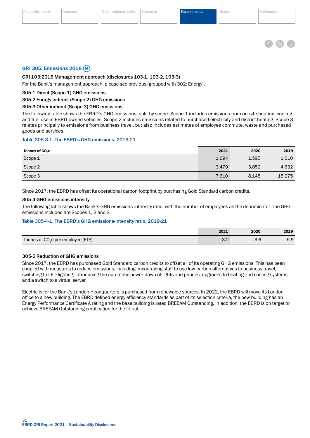

#### <span id="page-32-0"></span>GRI 305: Emissions 2016 M

#### GRI 103:2016 Management approach (disclosures 103-1, 103-2, 103-3)

For the Bank's management approach, please see previous (grouped with 302: Energy).

#### 305-1 Direct (Scope 1) GHG emissions

### 305-2 Energy indirect (Scope 2) GHG emissions

#### 305-3 Other indirect (Scope 3) GHG emissions

The following table shows the EBRD's GHG emissions, split by scope. Scope 1 includes emissions from on-site heating, cooling and fuel use in EBRD-owned vehicles. Scope 2 includes emissions related to purchased electricity and district heating. Scope 3 relates principally to emissions from business travel, but also includes estimates of employee commute, waste and purchased goods and services.

#### Table 305-3-1. The EBRD's GHG emissions, 2019-21

| Tonnes of CO <sub>2</sub> e | 2021  | 2020  | 2019   |
|-----------------------------|-------|-------|--------|
| Scope 1                     | 1,694 | 1,595 | 1,610  |
| Scope 2                     | 3,479 | 3,852 | 4,632  |
| Scope 3                     | 7,610 | 8,148 | 15,275 |

Since 2017, the EBRD has offset its operational carbon footprint by purchasing Gold Standard carbon credits.

#### 305-4 GHG emissions intensity

The following table shows the Bank's GHG emissions-intensity ratio, with the number of employees as the denominator. The GHG emissions included are Scopes 1, 2 and 3.

#### Table 305-4-1. The EBRD's GHG emissions-intensity ratio, 2019-21

|                                                | 2021 | 2020 | 2019 |
|------------------------------------------------|------|------|------|
| Tonnes of CO <sub>2</sub> e per employee (FTE) |      |      | 5.9  |

#### 305-5 Reduction of GHG emissions

Since 2017, the EBRD has purchased Gold Standard carbon credits to offset all of its operating GHG emissions. This has been coupled with measures to reduce emissions, including encouraging staff to use low-carbon alternatives to business travel, switching to LED lighting, introducing the automatic power-down of lights and phones, upgrades to heating and cooling systems, and a switch to a virtual server.

Electricity for the Bank's London Headquarters is purchased from renewable sources. In 2022, the EBRD will move its London office to a new building. The EBRD defined energy efficiency standards as part of its selection criteria, the new building has an Energy Performance Certificate A rating and the base building is rated BREEAM Outstanding. In addition, the EBRD is on target to achieve BREEAM Outstanding certification for the fit-out.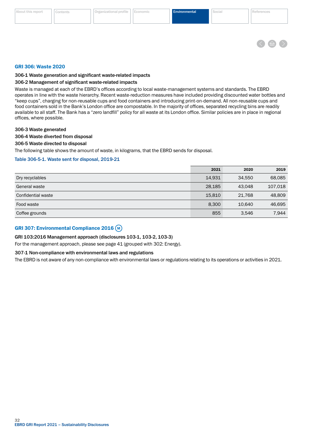

#### <span id="page-33-0"></span>GRI 306: Waste 2020

#### 306-1 Waste generation and significant waste-related impacts

#### 306-2 Management of significant waste-related impacts

Waste is managed at each of the EBRD's offices according to local waste-management systems and standards. The EBRD operates in line with the waste hierarchy. Recent waste-reduction measures have included providing discounted water bottles and "keep cups", charging for non-reusable cups and food containers and introducing print-on-demand. All non-reusable cups and food containers sold in the Bank's London office are compostable. In the majority of offices, separated recycling bins are readily available to all staff. The Bank has a "zero landfill" policy for all waste at its London office. Similar policies are in place in regional offices, where possible.

#### 306-3 Waste generated

#### 306-4 Waste diverted from disposal

#### 306-5 Waste directed to disposal

The following table shows the amount of waste, in kilograms, that the EBRD sends for disposal.

#### Table 306-5-1. Waste sent for disposal, 2019-21

|                    | 2021   | 2020   | 2019    |
|--------------------|--------|--------|---------|
| Dry recyclables    | 14,931 | 34.550 | 68,085  |
| General waste      | 28,185 | 43.048 | 107,018 |
| Confidential waste | 15,810 | 21.768 | 48,809  |
| Food waste         | 8,300  | 10.640 | 46,695  |
| Coffee grounds     | 855    | 3,546  | 7,944   |

# GRI 307: Environmental Compliance 2016 (M)

#### GRI 103:2016 Management approach (disclosures 103-1, 103-2, 103-3)

For the management approach, please see page 41 (grouped with 302: Energy).

#### 307-1 Non-compliance with environmental laws and regulations

The EBRD is not aware of any non-compliance with environmental laws or regulations relating to its operations or activities in 2021.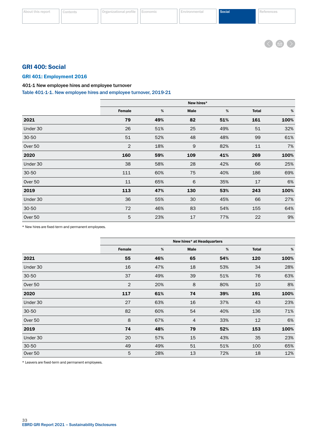

# <span id="page-34-0"></span>GRI 400: Social

### GRI 401: Employment 2016

### 401-1 New employee hires and employee turnover

Table 401-1-1. New employee hires and employee turnover, 2019-21

|           | New hires* |     |      |      |              |      |
|-----------|------------|-----|------|------|--------------|------|
|           | Female     | %   | Male | $\%$ | <b>Total</b> | %    |
| 2021      | 79         | 49% | 82   | 51%  | 161          | 100% |
| Under 30  | 26         | 51% | 25   | 49%  | 51           | 32%  |
| $30 - 50$ | 51         | 52% | 48   | 48%  | 99           | 61%  |
| Over 50   | 2          | 18% | 9    | 82%  | 11           | 7%   |
| 2020      | 160        | 59% | 109  | 41%  | 269          | 100% |
| Under 30  | 38         | 58% | 28   | 42%  | 66           | 25%  |
| $30 - 50$ | 111        | 60% | 75   | 40%  | 186          | 69%  |
| Over 50   | 11         | 65% | 6    | 35%  | 17           | 6%   |
| 2019      | 113        | 47% | 130  | 53%  | 243          | 100% |
| Under 30  | 36         | 55% | 30   | 45%  | 66           | 27%  |
| 30-50     | 72         | 46% | 83   | 54%  | 155          | 64%  |
| Over 50   | 5          | 23% | 17   | 77%  | 22           | 9%   |

\* New hires are fixed-term and permanent employees.

|           | New hires* at Headquarters |      |             |      |              |      |
|-----------|----------------------------|------|-------------|------|--------------|------|
|           | Female                     | $\%$ | <b>Male</b> | $\%$ | <b>Total</b> | $\%$ |
| 2021      | 55                         | 46%  | 65          | 54%  | 120          | 100% |
| Under 30  | 16                         | 47%  | 18          | 53%  | 34           | 28%  |
| 30-50     | 37                         | 49%  | 39          | 51%  | 76           | 63%  |
| Over 50   | $\overline{2}$             | 20%  | 8           | 80%  | 10           | 8%   |
| 2020      | 117                        | 61%  | 74          | 39%  | 191          | 100% |
| Under 30  | 27                         | 63%  | 16          | 37%  | 43           | 23%  |
| $30 - 50$ | 82                         | 60%  | 54          | 40%  | 136          | 71%  |
| Over 50   | 8                          | 67%  | 4           | 33%  | 12           | 6%   |
| 2019      | 74                         | 48%  | 79          | 52%  | 153          | 100% |
| Under 30  | 20                         | 57%  | 15          | 43%  | 35           | 23%  |
| $30 - 50$ | 49                         | 49%  | 51          | 51%  | 100          | 65%  |
| Over 50   | 5                          | 28%  | 13          | 72%  | 18           | 12%  |

\* Leavers are fixed-term and permanent employees.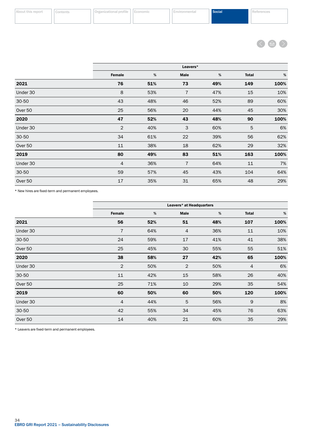

|           | Leavers*       |      |                |      |              |      |
|-----------|----------------|------|----------------|------|--------------|------|
|           | Female         | $\%$ | Male           | $\%$ | <b>Total</b> | $\%$ |
| 2021      | 76             | 51%  | 73             | 49%  | 149          | 100% |
| Under 30  | 8              | 53%  | $\overline{7}$ | 47%  | 15           | 10%  |
| 30-50     | 43             | 48%  | 46             | 52%  | 89           | 60%  |
| Over 50   | 25             | 56%  | 20             | 44%  | 45           | 30%  |
| 2020      | 47             | 52%  | 43             | 48%  | 90           | 100% |
| Under 30  | $\overline{2}$ | 40%  | 3              | 60%  | 5            | 6%   |
| $30 - 50$ | 34             | 61%  | 22             | 39%  | 56           | 62%  |
| Over 50   | 11             | 38%  | 18             | 62%  | 29           | 32%  |
| 2019      | 80             | 49%  | 83             | 51%  | 163          | 100% |
| Under 30  | $\overline{4}$ | 36%  | $\overline{7}$ | 64%  | 11           | 7%   |
| 30-50     | 59             | 57%  | 45             | 43%  | 104          | 64%  |
| Over 50   | 17             | 35%  | 31             | 65%  | 48           | 29%  |

\* New hires are fixed-term and permanent employees.

|           |                | Leavers* at Headquarters |                |     |                |      |
|-----------|----------------|--------------------------|----------------|-----|----------------|------|
|           | Female         | $\%$                     | <b>Male</b>    | %   | <b>Total</b>   | $\%$ |
| 2021      | 56             | 52%                      | 51             | 48% | 107            | 100% |
| Under 30  | $\overline{7}$ | 64%                      | $\overline{4}$ | 36% | 11             | 10%  |
| $30 - 50$ | 24             | 59%                      | 17             | 41% | 41             | 38%  |
| Over 50   | 25             | 45%                      | 30             | 55% | 55             | 51%  |
| 2020      | 38             | 58%                      | 27             | 42% | 65             | 100% |
| Under 30  | $\overline{2}$ | 50%                      | $\overline{2}$ | 50% | $\overline{4}$ | 6%   |
| $30 - 50$ | 11             | 42%                      | 15             | 58% | 26             | 40%  |
| Over 50   | 25             | 71%                      | 10             | 29% | 35             | 54%  |
| 2019      | 60             | 50%                      | 60             | 50% | 120            | 100% |
| Under 30  | $\overline{4}$ | 44%                      | 5              | 56% | $9$            | 8%   |
| $30 - 50$ | 42             | 55%                      | 34             | 45% | 76             | 63%  |
| Over 50   | 14             | 40%                      | 21             | 60% | 35             | 29%  |

\* Leavers are fixed-term and permanent employees.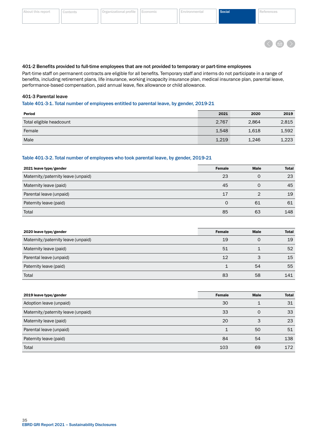<span id="page-36-0"></span>

| About this report | Cont |
|-------------------|------|
|-------------------|------|



#### 401-2 Benefits provided to full-time employees that are not provided to temporary or part-time employees

Part-time staff on permanent contracts are eligible for all benefits. Temporary staff and interns do not participate in a range of benefits, including retirement plans, life insurance, working incapacity insurance plan, medical insurance plan, parental leave, performance-based compensation, paid annual leave, flex allowance or child allowance.

#### 401-3 Parental leave

#### Table 401-3-1. Total number of employees entitled to parental leave, by gender, 2019-21

| Period                   | 2021  | 2020  | 2019  |
|--------------------------|-------|-------|-------|
| Total eligible headcount | 2,767 | 2,864 | 2,815 |
| Female                   | 1,548 | 1,618 | 1,592 |
| Male                     | 1,219 | 1,246 | 1,223 |

#### Table 401-3-2. Total number of employees who took parental leave, by gender, 2019-21

| 2021 leave type/gender             | <b>Female</b> | <b>Male</b> | <b>Total</b> |
|------------------------------------|---------------|-------------|--------------|
| Maternity/paternity leave (unpaid) | 23            | 0           | 23           |
| Maternity leave (paid)             | 45            |             | 45           |
| Parental leave (unpaid)            | 17            |             | 19           |
| Paternity leave (paid)             |               | 61          | 61           |
| Total                              | 85            | 63          | 148          |

| 2020 leave type/gender             | <b>Female</b> | <b>Male</b> | <b>Total</b> |
|------------------------------------|---------------|-------------|--------------|
| Maternity/paternity leave (unpaid) | 19            |             | 19           |
| Maternity leave (paid)             | 51            |             | 52           |
| Parental leave (unpaid)            | 12            |             | 15           |
| Paternity leave (paid)             |               | 54          | 55           |
| Total                              | 83            | 58          | 141          |

| 2019 leave type/gender             | <b>Female</b> | <b>Male</b> | <b>Total</b> |
|------------------------------------|---------------|-------------|--------------|
| Adoption leave (unpaid)            | 30            |             | 31           |
| Maternity/paternity leave (unpaid) | 33            | $\Omega$    | 33           |
| Maternity leave (paid)             | 20            | 3           | 23           |
| Parental leave (unpaid)            |               | 50          | 51           |
| Paternity leave (paid)             | 84            | 54          | 138          |
| Total                              | 103           | 69          | 172          |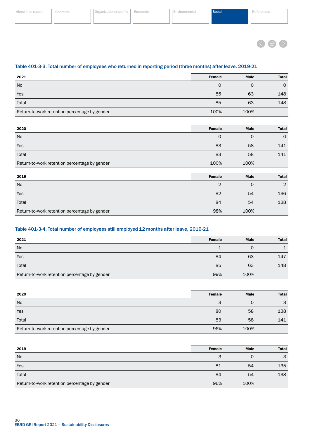|  | About this report |
|--|-------------------|
|  |                   |
|  |                   |



### Table 401-3-3. Total number of employees who returned in reporting period (three months) after leave, 2019-21

| 2021                                          | <b>Female</b> | <b>Male</b> | <b>Total</b> |
|-----------------------------------------------|---------------|-------------|--------------|
| <b>No</b>                                     |               |             | $\Omega$     |
| Yes                                           | 85            | 63          | 148          |
| Total                                         | 85            | 63          | 148          |
| Return-to-work retention percentage by gender | 100%          | 100%        |              |

| 2020                                          | <b>Female</b> | Male         | <b>Total</b> |
|-----------------------------------------------|---------------|--------------|--------------|
| No                                            | $\mathbf 0$   | $\mathbf{0}$ | $\mathbf 0$  |
| Yes                                           | 83            | 58           | 141          |
| Total                                         | 83            | 58           | 141          |
| Return-to-work retention percentage by gender | 100%          | 100%         |              |
|                                               |               |              |              |
| 2019                                          | <b>Female</b> | Male         | <b>Total</b> |
| No                                            | 2             | $\mathbf{0}$ | 2            |
| Yes                                           | 82            | 54           | 136          |
| Total                                         | 84            | 54           | 138          |
| Return-to-work retention percentage by gender | 98%           | 100%         |              |

### Table 401-3-4. Total number of employees still employed 12 months after leave, 2019-21

| 2021                                          | <b>Female</b> | <b>Male</b> | <b>Total</b> |
|-----------------------------------------------|---------------|-------------|--------------|
| <b>No</b>                                     |               |             |              |
| Yes                                           | 84            | 63          | 147          |
| Total                                         | 85            | 63          | 148          |
| Return-to-work retention percentage by gender | 99%           | 100%        |              |

| 2020                                          | <b>Female</b> | <b>Male</b> | <b>Total</b> |
|-----------------------------------------------|---------------|-------------|--------------|
| No                                            | З             |             | 3            |
| Yes                                           | 80            | 58          | 138          |
| Total                                         | 83            | 58          | 141          |
| Return-to-work retention percentage by gender | 96%           | 100%        |              |

| 2019                                          | <b>Female</b> | <b>Male</b> | <b>Total</b> |
|-----------------------------------------------|---------------|-------------|--------------|
| <b>No</b>                                     |               |             | 3            |
| Yes                                           | 81            | 54          | 135          |
| Total                                         | 84            | 54          | 138          |
| Return-to-work retention percentage by gender | 96%           | 100%        |              |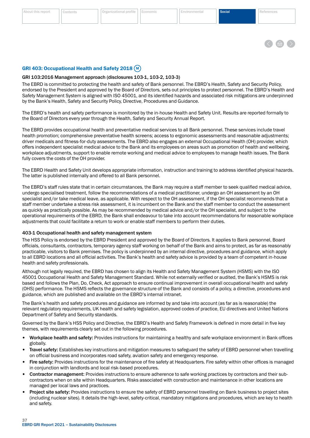#### <span id="page-38-0"></span>[About this report](#page-2-0) ||[Contents](#page-3-0) ||[Organizational profile](#page-5-0) ||[Economic](#page-25-0) ||[Environmental](#page-29-0) Social Social [References](#page-48-0)

# GRI 403: Occupational Health and Safety 2018 (M)

#### GRI 103:2016 Management approach (disclosures 103-1, 103-2, 103-3)

The EBRD is committed to protecting the health and safety of Bank personnel. The EBRD's Health, Safety and Security Policy, endorsed by the President and approved by the Board of Directors, sets out principles to protect personnel. The EBRD's Health and Safety Management System is aligned with ISO 45001, and its identified hazards and associated risk mitigations are underpinned by the Bank's Health, Safety and Security Policy, Directive, Procedures and Guidance.

The EBRD's health and safety performance is monitored by the in-house Health and Safety Unit. Results are reported formally to the Board of Directors every year through the Health, Safety and Security Annual Report.

The EBRD provides occupational health and preventative medical services to all Bank personnel. These services include travel health promotion; comprehensive preventative health screens; access to ergonomic assessments and reasonable adjustments; driver medicals and fitness-for-duty assessments. The EBRD also engages an external Occupational Health (OH) provider, which offers independent specialist medical advice to the Bank and its employees on areas such as promotion of health and wellbeing, workplace adjustments, support to enable remote working and medical advice to employees to manage health issues. The Bank fully covers the costs of the OH provider.

The EBRD Health and Safety Unit develops appropriate information, instruction and training to address identified physical hazards. The latter is published internally and offered to all Bank personnel.

The EBRD's staff rules state that in certain circumstances, the Bank may require a staff member to seek qualified medical advice, undergo specialised treatment, follow the recommendations of a medical practitioner, undergo an OH assessment by an OH specialist and/or take medical leave, as applicable. With respect to the OH assessment, if the OH specialist recommends that a staff member undertake a stress risk assessment, it is incumbent on the Bank and the staff member to conduct the assessment as quickly as practically possible. As may be recommended by medical advice and/or the OH specialist, and subject to the operational requirements of the EBRD, the Bank shall endeavour to take into account recommendations for reasonable workplace adjustments that could facilitate a return to work or enable staff members to perform their duties.

#### 403-1 Occupational health and safety management system

The HSS Policy is endorsed by the EBRD President and approved by the Board of Directors. It applies to Bank personnel, Board officials, consultants, contractors, temporary agency staff working on behalf of the Bank and aims to protect, as far as reasonably practicable, visitors to Bank premises. The policy is underpinned by an internal directive, procedures and guidance, which apply to all EBRD locations and all official activities. The Bank's health and safety advice is provided by a team of competent in-house health and safety professionals.

Although not legally required, the EBRD has chosen to align its Health and Safety Management System (HSMS) with the ISO 45001 Occupational Health and Safety Management Standard. While not externally verified or audited, the Bank's HSMS is risk based and follows the Plan, Do, Check, Act approach to ensure continual improvement in overall occupational health and safety (OHS) performance. The HSMS reflects the governance structure of the Bank and consists of a policy, a directive, procedures and guidance, which are published and available on the EBRD's internal intranet.

The Bank's health and safety procedures and guidance are informed by and take into account (as far as is reasonable) the relevant regulatory requirements, UK health and safety legislation, approved codes of practice, EU directives and United Nations Department of Safety and Security standards.

Governed by the Bank's HSS Policy and Directive, the EBRD's Health and Safety Framework is defined in more detail in five key themes, with requirements clearly set out in the following procedures.

- Workplace health and safety: Provides instructions for maintaining a healthy and safe workplace environment in Bank offices globally.
- Travel safety: Establishes key instructions and mitigation measures to safeguard the safety of EBRD personnel when travelling on official business and incorporates road safety, aviation safety and emergency response.
- Fire safety: Provides instructions for the maintenance of fire safety at Headquarters. Fire safety within other offices is managed in conjunction with landlords and local risk-based procedures.
- Contractor management: Provides instructions to ensure adherence to safe working practices by contractors and their subcontractors when on site within Headquarters. Risks associated with construction and maintenance in other locations are managed per local laws and practices.
- Project site safety: Provides instructions to ensure the safety of EBRD personnel travelling on Bank business to project sites (including nuclear sites). It details the high-level, safety-critical, mandatory mitigations and procedures, which are key to health and safety.

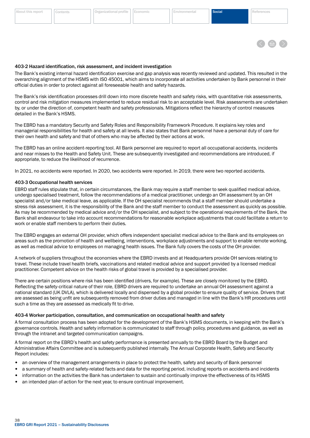

#### <span id="page-39-0"></span>403-2 Hazard identification, risk assessment, and incident investigation

The Bank's existing internal hazard identification exercise and gap analysis was recently reviewed and updated. This resulted in the overarching alignment of the HSMS with ISO 45001, which aims to incorporate all activities undertaken by Bank personnel in their official duties in order to protect against all foreseeable health and safety hazards.

The Bank's risk identification processes drill down into more discrete health and safety risks, with quantitative risk assessments, control and risk mitigation measures implemented to reduce residual risk to an acceptable level. Risk assessments are undertaken by, or under the direction of, competent health and safety professionals. Mitigations reflect the hierarchy of control measures detailed in the Bank's HSMS.

The EBRD has a mandatory Security and Safety Roles and Responsibility Framework Procedure. It explains key roles and managerial responsibilities for health and safety at all levels. It also states that Bank personnel have a personal duty of care for their own health and safety and that of others who may be affected by their actions at work.

The EBRD has an online accident-reporting tool. All Bank personnel are required to report all occupational accidents, incidents and near misses to the Health and Safety Unit. These are subsequently investigated and recommendations are introduced, if appropriate, to reduce the likelihood of recurrence.

In 2021, no accidents were reported. In 2020, two accidents were reported. In 2019, there were two reported accidents.

#### 403-3 Occupational health services

EBRD staff rules stipulate that, in certain circumstances, the Bank may require a staff member to seek qualified medical advice, undergo specialised treatment, follow the recommendations of a medical practitioner, undergo an OH assessment by an OH specialist and/or take medical leave, as applicable. If the OH specialist recommends that a staff member should undertake a stress risk assessment, it is the responsibility of the Bank and the staff member to conduct the assessment as quickly as possible. As may be recommended by medical advice and/or the OH specialist, and subject to the operational requirements of the Bank, the Bank shall endeavour to take into account recommendations for reasonable workplace adjustments that could facilitate a return to work or enable staff members to perform their duties.

The EBRD engages an external OH provider, which offers independent specialist medical advice to the Bank and its employees on areas such as the promotion of health and wellbeing, interventions, workplace adjustments and support to enable remote working, as well as medical advice to employees on managing health issues. The Bank fully covers the costs of the OH provider.

A network of suppliers throughout the economies where the EBRD invests and at Headquarters provide OH services relating to travel. These include travel health briefs, vaccinations and related medical advice and support provided by a licensed medical practitioner. Competent advice on the health risks of global travel is provided by a specialised provider.

There are certain positions where risk has been identified (drivers, for example). These are closely monitored by the EBRD. Reflecting the safety-critical nature of their role, EBRD drivers are required to undertake an annual OH assessment against a national standard (UK DVLA), which is delivered locally and dispensed by a global provider to ensure quality of service. Drivers that are assessed as being unfit are subsequently removed from driver duties and managed in line with the Bank's HR procedures until such a time as they are assessed as medically fit to drive.

#### 403-4 Worker participation, consultation, and communication on occupational health and safety

A formal consultation process has been adopted for the development of the Bank's HSMS documents, in keeping with the Bank's governance controls. Health and safety information is communicated to staff through policy, procedures and guidance, as well as through the intranet and targeted communication campaigns.

A formal report on the EBRD's health and safety performance is presented annually to the EBRD Board by the Budget and Administrative Affairs Committee and is subsequently published internally. The Annual Corporate Health, Safety and Security Report includes:

- an overview of the management arrangements in place to protect the health, safety and security of Bank personnel
- a summary of health and safety-related facts and data for the reporting period, including reports on accidents and incidents
- information on the activities the Bank has undertaken to sustain and continually improve the effectiveness of its HSMS
- an intended plan of action for the next year, to ensure continual improvement.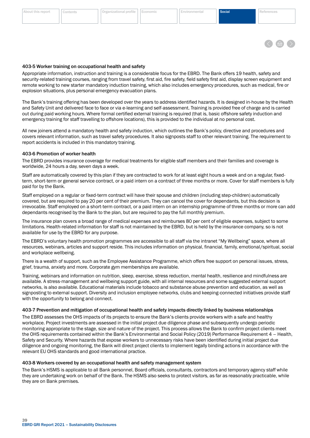The EBRD assesses the OHS impacts of its projects to ensure the Bank's clients provide workers with a safe and healthy workplace. Project investments are assessed in the initial project due diligence phase and subsequently undergo periodic monitoring appropriate to the stage, size and nature of the project. This process allows the Bank to confirm project clients meet the OHS requirements contained within the Bank's Environmental and Social Policy (2019) Performance Requirement 4 – Health, Safety and Security. Where hazards that expose workers to unnecessary risks have been identified during initial project due diligence and ongoing monitoring, the Bank will direct project clients to implement legally binding actions in accordance with the relevant EU OHS standards and good international practice.

# 403-8 Workers covered by an occupational health and safety management system

The Bank's HSMS is applicable to all Bank personnel, Board officials, consultants, contractors and temporary agency staff while they are undertaking work on behalf of the Bank. The HSMS also seeks to protect visitors, as far as reasonably practicable, while they are on Bank premises.

# <span id="page-40-0"></span>[About this report](#page-2-0) ||[Contents](#page-3-0) ||[Organizational profile](#page-5-0) ||[Economic](#page-25-0) ||[Environmental](#page-29-0) Social Social [References](#page-48-0)

# 403-5 Worker training on occupational health and safety

Appropriate information, instruction and training is a considerable focus for the EBRD. The Bank offers 19 health, safety and security-related training courses, ranging from travel safety, first aid, fire safety, field safety first aid, display screen equipment and remote working to new starter mandatory induction training, which also includes emergency procedures, such as medical, fire or explosion situations, plus personal emergency evacuation plans.

The Bank's training offering has been developed over the years to address identified hazards. It is designed in-house by the Health and Safety Unit and delivered face to face or via e-learning and self-assessment. Training is provided free of charge and is carried out during paid working hours. Where formal certified external training is required (that is, basic offshore safety induction and emergency training for staff travelling to offshore locations), this is provided to the individual at no personal cost.

All new joiners attend a mandatory health and safety induction, which outlines the Bank's policy, directive and procedures and covers relevant information, such as travel safety procedures. It also signposts staff to other relevant training. The requirement to report accidents is included in this mandatory training.

# 403-6 Promotion of worker health

The EBRD provides insurance coverage for medical treatments for eligible staff members and their families and coverage is worldwide, 24 hours a day, seven days a week.

Staff are automatically covered by this plan if they are contracted to work for at least eight hours a week and on a regular, fixedterm, short-term or general service contract, or a paid intern on a contract of three months or more. Cover for staff members is fully paid for by the Bank.

Staff employed on a regular or fixed-term contract will have their spouse and children (including step-children) automatically covered, but are required to pay 20 per cent of their premium. They can cancel the cover for dependants, but this decision is irrevocable. Staff employed on a short-term contract, or a paid intern on an internship programme of three months or more can add dependants recognised by the Bank to the plan, but are required to pay the full monthly premium.

The insurance plan covers a broad range of medical expenses and reimburses 80 per cent of eligible expenses, subject to some limitations. Health-related information for staff is not maintained by the EBRD, but is held by the insurance company, so is not available for use by the EBRD for any purpose.

The EBRD's voluntary health promotion programmes are accessible to all staff via the intranet "My Wellbeing" space, where all resources, webinars, articles and support reside. This includes information on physical, financial, family, emotional/spiritual, social and workplace wellbeing.

There is a wealth of support, such as the Employee Assistance Programme, which offers free support on personal issues, stress, grief, trauma, anxiety and more. Corporate gym memberships are available.

Training, webinars and information on nutrition, sleep, exercise, stress reduction, mental health, resilience and mindfulness are available. A stress-management and wellbeing support guide, with all internal resources and some suggested external support networks, is also available. Educational materials include tobacco and substance abuse prevention and education, as well as signposting to external support. Diversity and inclusion employee networks, clubs and keeping-connected initiatives provide staff with the opportunity to belong and connect.

# 403-7 Prevention and mitigation of occupational health and safety impacts directly linked by business relationships

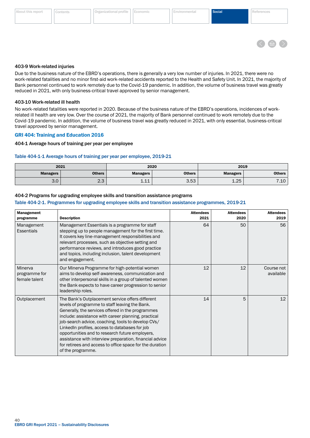

#### <span id="page-41-0"></span>403-9 Work-related injuries

Due to the business nature of the EBRD's operations, there is generally a very low number of injuries. In 2021, there were no work-related fatalities and no minor first-aid work-related accidents reported to the Health and Safety Unit. In 2021, the majority of Bank personnel continued to work remotely due to the Covid-19 pandemic. In addition, the volume of business travel was greatly reduced in 2021, with only business-critical travel approved by senior management.

#### 403-10 Work-related ill health

No work-related fatalities were reported in 2020. Because of the business nature of the EBRD's operations, incidences of workrelated ill health are very low. Over the course of 2021, the majority of Bank personnel continued to work remotely due to the Covid-19 pandemic. In addition, the volume of business travel was greatly reduced in 2021, with only essential, business-critical travel approved by senior management.

#### GRI 404: Training and Education 2016

#### 404-1 Average hours of training per year per employee

#### Table 404-1-1 Average hours of training per year per employee, 2019-21

| 2021<br>2020    |               |                 | 2019          |                                |                    |
|-----------------|---------------|-----------------|---------------|--------------------------------|--------------------|
| <b>Managers</b> | <b>Others</b> | <b>Managers</b> | <b>Others</b> | <b>Managers</b>                | Others             |
| $\Omega$<br>J.U | $\sim$<br>ت.ے | ᆠᆠᆠ             | 3.53          | つに<br>$\overline{ }$<br>ں ے. ۔ | $\sqrt{10}$<br>…⊥∪ |

#### 404-2 Programs for upgrading employee skills and transition assistance programs

#### Table 404-2-1. Programmes for upgrading employee skills and transition assistance programmes, 2019-21

| Management<br>programme                   | <b>Description</b>                                                                                                                                                                                                                                                                                                                                                                                                                                                                                                    | <b>Attendees</b><br>2021 | <b>Attendees</b><br>2020 | <b>Attendees</b><br>2019 |
|-------------------------------------------|-----------------------------------------------------------------------------------------------------------------------------------------------------------------------------------------------------------------------------------------------------------------------------------------------------------------------------------------------------------------------------------------------------------------------------------------------------------------------------------------------------------------------|--------------------------|--------------------------|--------------------------|
| Management<br><b>Essentials</b>           | Management Essentials is a programme for staff<br>stepping up to people management for the first time.<br>It covers key line-management responsibilities and<br>relevant processes, such as objective setting and<br>performance reviews, and introduces good practice<br>and topics, including inclusion, talent development<br>and engagement.                                                                                                                                                                      | 64                       | 50                       | 56                       |
| Minerva<br>programme for<br>female talent | Our Minerva Programme for high-potential women<br>aims to develop self-awareness, communication and<br>other interpersonal skills in a group of talented women<br>the Bank expects to have career progression to senior<br>leadership roles.                                                                                                                                                                                                                                                                          | 12                       | 12                       | Course not<br>available  |
| Outplacement                              | The Bank's Outplacement service offers different<br>levels of programme to staff leaving the Bank.<br>Generally, the services offered in the programmes<br>include: assistance with career planning, practical<br>job-search advice, coaching, tools to develop CVs/<br>LinkedIn profiles, access to databases for job<br>opportunities and to research future employers,<br>assistance with interview preparation, financial advice<br>for retirees and access to office space for the duration<br>of the programme. | 14                       | 5                        | 12                       |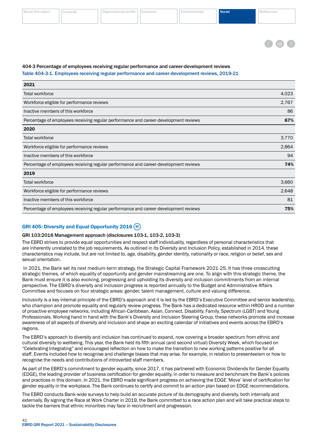

### <span id="page-42-0"></span>404-3 Percentage of employees receiving regular performance and career-development reviews

Table 404-3-1. Employees receiving regular performance and career-development reviews, 2019-21

| 2021                                                                                 |       |
|--------------------------------------------------------------------------------------|-------|
| Total workforce                                                                      | 4,023 |
| Workforce eligible for performance reviews                                           | 2,767 |
| Inactive members of this workforce                                                   | 86    |
| Percentage of employees receiving regular performance and career-development reviews | 67%   |
| 2020                                                                                 |       |
| Total workforce                                                                      | 3,770 |
| Workforce eligible for performance reviews                                           | 2,864 |
| Inactive members of this workforce                                                   | 94    |
| Percentage of employees receiving regular performance and career-development reviews | 74%   |
| 2019                                                                                 |       |
| Total workforce                                                                      | 3,660 |
| Workforce eligible for performance reviews                                           | 2,648 |
| Inactive members of this workforce                                                   | 81    |
| Percentage of employees receiving regular performance and career-development reviews | 75%   |

# GRI 405: Diversity and Equal Opportunity 2016  $(M)$

#### GRI 103:2016 Management approach (disclosures 103-1, 103-2, 103-3)

The EBRD strives to provide equal opportunities and respect staff individuality, regardless of personal characteristics that are inherently unrelated to the job requirements. As outlined in its Diversity and Inclusion Policy, established in 2014, these characteristics may include, but are not limited to, age, disability, gender identity, nationality or race, religion or belief, sex and sexual orientation.

 In 2021, the Bank set its next medium-term strategy, the Strategic Capital Framework 2021-25. It has three crosscutting strategic themes, of which equality of opportunity and gender mainstreaming are one. To align with this strategic theme, the Bank must ensure it is also evolving, progressing and upholding its diversity and inclusion commitments from an internal perspective. The EBRD's diversity and inclusion progress is reported annually to the Budget and Administrative Affairs Committee and focuses on four strategic areas: gender, talent management, culture and valuing difference.

Inclusivity is a key internal principle of the EBRD's approach and it is led by the EBRD's Executive Committee and senior leadership, who champion and promote equality and regularly review progress. The Bank has a dedicated resource within HROD and a number of proactive employee networks, including African-Caribbean, Asian, Connect, Disability, Family, Spectrum (LGBT) and Young Professionals. Working hand in hand with the Bank's Diversity and Inclusion Steering Group, these networks promote and increase awareness of all aspects of diversity and inclusion and shape an exciting calendar of initiatives and events across the EBRD's regions.

The EBRD's approach to diversity and inclusion has continued to expand, now covering a broader spectrum from ethnic and cultural diversity to wellbeing. This year, the Bank held its fifth annual (and second virtual) Diversity Week, which focused on "Celebrating Integrating" and encouraged reflection on how to make the transition to new working patterns positive for all staff. Events included how to recognise and challenge biases that may arise, for example, in relation to presenteeism or how to recognise the needs and contributions of introverted staff members.

As part of the EBRD's commitment to gender equality, since 2017, it has partnered with Economic Dividends for Gender Equality (EDGE), the leading provider of business certification for gender equality, in order to measure and benchmark the Bank's policies and practices in this domain. In 2021, the EBRD made significant progress on achieving the EDGE 'Move' level of certification for gender equality in the workplace. The Bank continues to certify and commit to an action plan based on EDGE recommendations.

The EBRD conducts Bank-wide surveys to help build an accurate picture of its demography and diversity, both internally and externally. By signing the Race at Work Charter in 2019, the Bank committed to a race action plan and will take practical steps to tackle the barriers that ethnic minorities may face in recruitment and progression.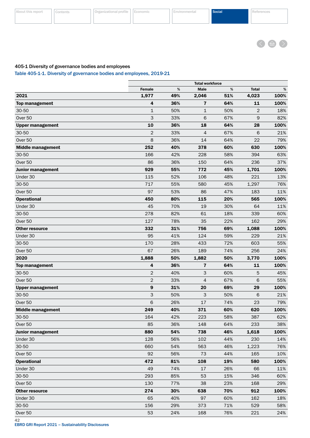

### <span id="page-43-0"></span>405-1 Diversity of governance bodies and employees

Table 405-1-1. Diversity of governance bodies and employees, 2019-21

|                          |                | <b>Total workforce</b> |                |     |              |      |
|--------------------------|----------------|------------------------|----------------|-----|--------------|------|
|                          | <b>Female</b>  | %                      | Male           | %   | <b>Total</b> | %    |
| 2021                     | 1,977          | 49%                    | 2,046          | 51% | 4,023        | 100% |
| <b>Top management</b>    | 4              | 36%                    | $\overline{7}$ | 64% | 11           | 100% |
| $30 - 50$                | $\mathbf{1}$   | 50%                    | $\mathbf{1}$   | 50% | 2            | 18%  |
| Over 50                  | 3              | 33%                    | 6              | 67% | 9            | 82%  |
| <b>Upper management</b>  | 10             | 36%                    | 18             | 64% | 28           | 100% |
| $30 - 50$                | $\overline{2}$ | 33%                    | 4              | 67% | 6            | 21%  |
| Over 50                  | 8              | 36%                    | 14             | 64% | 22           | 79%  |
| <b>Middle management</b> | 252            | 40%                    | 378            | 60% | 630          | 100% |
| 30-50                    | 166            | 42%                    | 228            | 58% | 394          | 63%  |
| Over 50                  | 86             | 36%                    | 150            | 64% | 236          | 37%  |
| <b>Junior management</b> | 929            | 55%                    | 772            | 45% | 1,701        | 100% |
| Under 30                 | 115            | 52%                    | 106            | 48% | 221          | 13%  |
| 30-50                    | 717            | 55%                    | 580            | 45% | 1,297        | 76%  |
| Over 50                  | 97             | 53%                    | 86             | 47% | 183          | 11%  |
| <b>Operational</b>       | 450            | 80%                    | 115            | 20% | 565          | 100% |
| Under 30                 | 45             | 70%                    | 19             | 30% | 64           | 11%  |
| 30-50                    | 278            | 82%                    | 61             | 18% | 339          | 60%  |
| Over 50                  | 127            | 78%                    | 35             | 22% | 162          | 29%  |
| <b>Other resource</b>    | 332            | 31%                    | 756            | 69% | 1,088        | 100% |
| Under 30                 | 95             | 41%                    | 124            | 59% | 229          | 21%  |
| 30-50                    | 170            | 28%                    | 433            | 72% | 603          | 55%  |
| Over 50                  | 67             | 26%                    | 189            | 74% | 256          | 24%  |
| 2020                     | 1,888          | 50%                    | 1,882          | 50% | 3,770        | 100% |
| <b>Top management</b>    | 4              | 36%                    | $\overline{7}$ | 64% | 11           | 100% |
| $30 - 50$                | $\overline{2}$ | 40%                    | 3              | 60% | 5            | 45%  |
| Over <sub>50</sub>       | $\overline{2}$ | 33%                    | 4              | 67% | 6            | 55%  |
| <b>Upper management</b>  | 9              | 31%                    | 20             | 69% | 29           | 100% |
| $30 - 50$                | 3              | 50%                    | 3              | 50% | 6            | 21%  |
| Over <sub>50</sub>       | 6              | 26%                    | 17             | 74% | 23           | 79%  |
| <b>Middle management</b> | 249            | 40%                    | 371            | 60% | 620          | 100% |
| 30-50                    | 164            | 42%                    | 223            | 58% | 387          | 62%  |
| Over 50                  | 85             | 36%                    | 148            | 64% | 233          | 38%  |
| <b>Junior management</b> | 880            | 54%                    | 738            | 46% | 1,618        | 100% |
| Under 30                 | 128            | 56%                    | 102            | 44% | 230          | 14%  |
| 30-50                    | 660            | 54%                    | 563            | 46% | 1,223        | 76%  |
| Over 50                  | 92             | 56%                    | 73             | 44% | 165          | 10%  |
| <b>Operational</b>       | 472            | 81%                    | 108            | 19% | 580          | 100% |
| Under 30                 | 49             | 74%                    | 17             | 26% | 66           | 11%  |
| 30-50                    | 293            | 85%                    | 53             | 15% | 346          | 60%  |
| Over 50                  | 130            | 77%                    | 38             | 23% | 168          | 29%  |
| <b>Other resource</b>    | 274            | 30%                    | 638            | 70% | 912          | 100% |
| Under 30                 | 65             | 40%                    | 97             | 60% | 162          | 18%  |
| 30-50                    | 156            | 29%                    | 373            | 71% | 529          | 58%  |
| Over 50                  | 53             | 24%                    | 168            | 76% | 221          | 24%  |
|                          |                |                        |                |     |              |      |

42

EBRD GRI Report 2021 – Sustainability Disclosures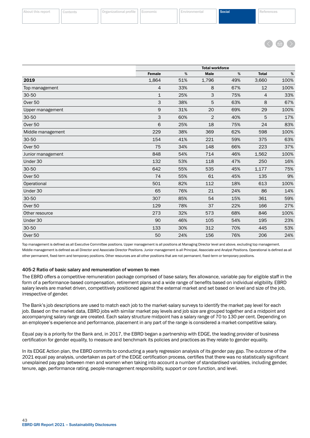

<span id="page-44-0"></span>

|                    | <b>Total workforce</b> |     |             |     |                |      |
|--------------------|------------------------|-----|-------------|-----|----------------|------|
|                    | <b>Female</b>          | %   | <b>Male</b> | %   | <b>Total</b>   | $\%$ |
| 2019               | 1,864                  | 51% | 1,796       | 49% | 3,660          | 100% |
| Top management     | $\overline{4}$         | 33% | 8           | 67% | 12             | 100% |
| 30-50              | $\mathbf{1}$           | 25% | 3           | 75% | $\overline{4}$ | 33%  |
| Over <sub>50</sub> | 3                      | 38% | 5           | 63% | 8              | 67%  |
| Upper management   | 9                      | 31% | 20          | 69% | 29             | 100% |
| 30-50              | 3                      | 60% | 2           | 40% | 5              | 17%  |
| Over 50            | 6                      | 25% | 18          | 75% | 24             | 83%  |
| Middle management  | 229                    | 38% | 369         | 62% | 598            | 100% |
| 30-50              | 154                    | 41% | 221         | 59% | 375            | 63%  |
| Over <sub>50</sub> | 75                     | 34% | 148         | 66% | 223            | 37%  |
| Junior management  | 848                    | 54% | 714         | 46% | 1,562          | 100% |
| Under 30           | 132                    | 53% | 118         | 47% | 250            | 16%  |
| 30-50              | 642                    | 55% | 535         | 45% | 1,177          | 75%  |
| Over 50            | 74                     | 55% | 61          | 45% | 135            | 9%   |
| Operational        | 501                    | 82% | 112         | 18% | 613            | 100% |
| Under 30           | 65                     | 76% | 21          | 24% | 86             | 14%  |
| 30-50              | 307                    | 85% | 54          | 15% | 361            | 59%  |
| Over <sub>50</sub> | 129                    | 78% | 37          | 22% | 166            | 27%  |
| Other resource     | 273                    | 32% | 573         | 68% | 846            | 100% |
| Under 30           | 90                     | 46% | 105         | 54% | 195            | 23%  |
| 30-50              | 133                    | 30% | 312         | 70% | 445            | 53%  |
| Over 50            | 50                     | 24% | 156         | 76% | 206            | 24%  |

Top management is defined as all Executive Committee positions. Upper management is all positions at Managing Director level and above, excluding top management. Middle management is defined as all Director and Associate Director Positions. Junior management is all Principal, Associate and Analyst Positions. Operational is defined as all other permanent, fixed-term and temporary positions. Other resources are all other positions that are not permanent, fixed-term or temporary positions.

#### 405-2 Ratio of basic salary and remuneration of women to men

The EBRD offers a competitive remuneration package comprised of base salary, flex allowance, variable pay for eligible staff in the form of a performance-based compensation, retirement plans and a wide range of benefits based on individual eligibility. EBRD salary levels are market driven, competitively positioned against the external market and set based on level and size of the job, irrespective of gender.

The Bank's job descriptions are used to match each job to the market-salary surveys to identify the market pay level for each job. Based on the market data, EBRD jobs with similar market pay levels and job size are grouped together and a midpoint and accompanying salary range are created. Each salary structure midpoint has a salary range of 70 to 130 per cent. Depending on an employee's experience and performance, placement in any part of the range is considered a market-competitive salary.

Equal pay is a priority for the Bank and, in 2017, the EBRD began a partnership with EDGE, the leading provider of business certification for gender equality, to measure and benchmark its policies and practices as they relate to gender equality.

In its EDGE Action plan, the EBRD commits to conducting a yearly regression analysis of its gender pay gap. The outcome of the 2021 equal pay analysis, undertaken as part of the EDGE certification process, certifies that there was no statistically significant unexplained pay gap between men and women when taking into account a number of standardised variables, including gender, tenure, age, performance rating, people-management responsibility, support or core function, and level.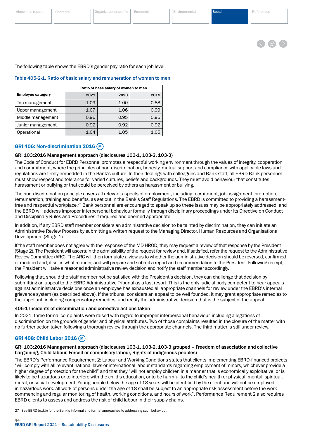

<span id="page-45-0"></span>The following table shows the EBRD's gender pay ratio for each job level.

#### Table 405-2-1. Ratio of basic salary and remuneration of women to men

|                          | Ratio of base salary of women to men |      |      |  |
|--------------------------|--------------------------------------|------|------|--|
| <b>Employee category</b> | 2021                                 | 2020 | 2019 |  |
| Top management           | 1.09                                 | 1.00 | 0.88 |  |
| Upper management         | 1.07                                 | 1.06 | 0.99 |  |
| Middle management        | 0.96                                 | 0.95 | 0.95 |  |
| Junior management        | 0.92                                 | 0.92 | 0.92 |  |
| Operational              | 1.04                                 | 1.05 | 1.05 |  |

# GRI 406: Non-discrimination 2016 (M)

#### GRI 103:2016 Management approach (disclosures 103-1, 103-2, 103-3)

The Code of Conduct for EBRD Personnel promotes a respectful working environment through the values of integrity, cooperation and commitment, where the principles of non-discrimination, honesty, mutual support and compliance with applicable laws and regulations are firmly embedded in the Bank's culture. In their dealings with colleagues and Bank staff, all EBRD Bank personnel must show respect and tolerance for varied cultures, beliefs and backgrounds. They must avoid behaviour that constitutes harassment or bullying or that could be perceived by others as harassment or bullying.

The non-discrimination principle covers all relevant aspects of employment, including recruitment, job assignment, promotion, remuneration, training and benefits, as set out in the Bank's Staff Regulations. The EBRD is committed to providing a harassmentfree and respectful workplace.<sup>27</sup> Bank personnel are encouraged to speak up so these issues may be appropriately addressed, and the EBRD will address improper interpersonal behaviour formally through disciplinary proceedings under its Directive on Conduct and Disciplinary Rules and Procedures if required and deemed appropriate.

In addition, if any EBRD staff member considers an administrative decision to be tainted by discrimination, they can initiate an Administrative Review Process by submitting a written request to the Managing Director, Human Resources and Organisational Development (Stage 1).

If the staff member does not agree with the response of the MD HROD, they may request a review of that response by the President (Stage 2). The President will ascertain the admissibility of the request for review and, if satisfied, refer the request to the Administrative Review Committee (ARC). The ARC will then formulate a view as to whether the administrative decision should be reversed, confirmed or modified and, if so, in what manner, and will prepare and submit a report and recommendation to the President. Following receipt, the President will take a reasoned administrative review decision and notify the staff member accordingly.

Following that, should the staff member not be satisfied with the President's decision, they can challenge that decision by submitting an appeal to the EBRD Administrative Tribunal as a last resort. This is the only judicial body competent to hear appeals against administrative decisions once an employee has exhausted all appropriate channels for review under the EBRD's internal grievance system (as described above). If the tribunal considers an appeal to be well founded, it may grant appropriate remedies to the appellant, including compensatory remedies, and rectify the administrative decision that is the subject of the appeal.

#### 406-1 Incidents of discrimination and corrective actions taken

In 2021, three formal complaints were raised with regard to improper interpersonal behaviour, including allegations of discrimination on the grounds of gender and physical attributes. Two of those complaints resulted in the closure of the matter with no further action taken following a thorough review through the appropriate channels. The third matter is still under review.

# GRI 408: Child Labor 2016 (M)

#### GRI 103:2016 Management approach (disclosures 103-1, 103-2, 103-3 grouped – Freedom of association and collective bargaining, Child labour, Forced or compulsory labour, Rights of indigenous peoples)

The EBRD's Performance Requirement 2: Labour and Working Conditions states that clients implementing EBRD-financed projects "will comply with all relevant national laws or international labour standards regarding employment of minors, whichever provide a higher degree of protection for the child" and that they "will not employ children in a manner that is economically exploitative, or is likely to be hazardous or to interfere with the child's education, or to be harmful to the child's health or physical, mental, spiritual, moral, or social development. Young people below the age of 18 years will be identified by the client and will not be employed in hazardous work. All work of persons under the age of 18 shall be subject to an appropriate risk assessment before the work commencing and regular monitoring of health, working conditions, and hours of work". Performance Requirement 2 also requires EBRD clients to assess and address the risk of child labour in their supply chains.

27 See EBRD (n.d.b) for the Bank's informal and formal approaches to addressing such behaviour.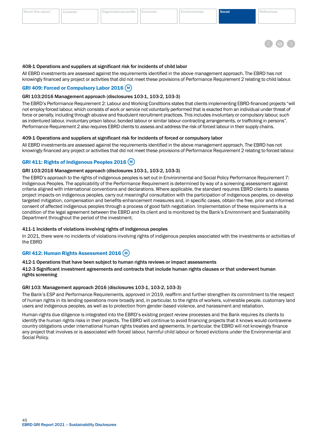

#### <span id="page-46-0"></span>408-1 Operations and suppliers at significant risk for incidents of child labor

All EBRD investments are assessed against the requirements identified in the above management approach. The EBRD has not knowingly financed any project or activities that did not meet these provisions of Performance Requirement 2 relating to child labour.

### GRI 409: Forced or Compulsory Labor 2016 (M)

#### GRI 103:2016 Management approach (disclosures 103-1, 103-2, 103-3)

The EBRD's Performance Requirement 2: Labour and Working Conditions states that clients implementing EBRD-financed projects "will not employ forced labour, which consists of work or service not voluntarily performed that is exacted from an individual under threat of force or penalty, including through abusive and fraudulent recruitment practices. This includes involuntary or compulsory labour, such as indentured labour, involuntary prison labour, bonded labour or similar labour-contracting arrangements, or trafficking in persons". Performance Requirement 2 also requires EBRD clients to assess and address the risk of forced labour in their supply chains.

#### 409-1 Operations and suppliers at significant risk for incidents of forced or compulsory labor

All EBRD investments are assessed against the requirements identified in the above management approach. The EBRD has not knowingly financed any project or activities that did not meet these provisions of Performance Requirement 2 relating to forced labour.

#### GRI 411: Rights of Indigenous Peoples 2016 (M)

#### GRI 103:2016 Management approach (disclosures 103-1, 103-2, 103-3)

The EBRD's approach to the rights of indigenous peoples is set out in Environmental and Social Policy Performance Requirement 7: Indigenous Peoples. The applicability of the Performance Requirement is determined by way of a screening assessment against criteria aligned with international conventions and declarations. Where applicable, the standard requires EBRD clients to assess project impacts on indigenous peoples, carry out meaningful consultation with the participation of indigenous peoples, co-develop targeted mitigation, compensation and benefits-enhancement measures and, in specific cases, obtain the free, prior and informed consent of affected indigenous peoples through a process of good faith negotiation. Implementation of these requirements is a condition of the legal agreement between the EBRD and its client and is monitored by the Bank's Environment and Sustainability Department throughout the period of the investment.

#### 411-1 Incidents of violations involving rights of indigenous peoples

In 2021, there were no incidents of violations involving rights of indigenous peoples associated with the investments or activities of the EBRD

### GRI 412: Human Rights Assessment 2016 (M)

#### 412-1 Operations that have been subject to human rights reviews or impact assessments

#### 412-3 Significant investment agreements and contracts that include human rights clauses or that underwent human rights screening

#### GRI 103: Management approach 2016 (disclosures 103-1, 103-2, 103-3)

The Bank's ESP and Performance Requirements, approved in 2019, reaffirm and further strengthen its commitment to the respect of human rights in its lending operations more broadly and, in particular, to the rights of workers, vulnerable people, customary land users and indigenous peoples, as well as to protection from gender-based violence, and harassment and retaliation.

Human-rights due diligence is integrated into the EBRD's existing project review processes and the Bank requires its clients to identify the human rights risks in their projects. The EBRD will continue to avoid financing projects that it knows would contravene country obligations under international human rights treaties and agreements. In particular, the EBRD will not knowingly finance any project that involves or is associated with forced labour, harmful child labour or forced evictions under the Environmental and Social Policy.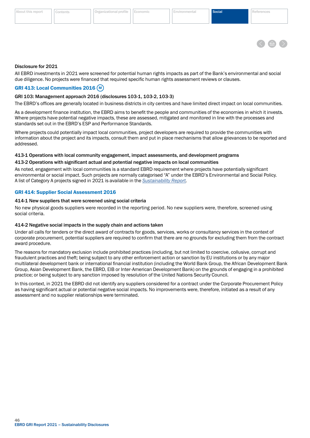<span id="page-47-0"></span>



#### Disclosure for 2021

All EBRD investments in 2021 were screened for potential human rights impacts as part of the Bank's environmental and social due diligence. No projects were financed that required specific human rights assessment reviews or clauses.

# GRI 413: Local Communities 2016 (M)

#### GRI 103: Management approach 2016 (disclosures 103-1, 103-2, 103-3)

The EBRD's offices are generally located in business districts in city centres and have limited direct impact on local communities.

As a development finance institution, the EBRD aims to benefit the people and communities of the economies in which it invests. Where projects have potential negative impacts, these are assessed, mitigated and monitored in line with the processes and standards set out in the EBRD's ESP and Performance Standards.

Where projects could potentially impact local communities, project developers are required to provide the communities with information about the project and its impacts, consult them and put in place mechanisms that allow grievances to be reported and addressed.

# 413-1 Operations with local community engagement, impact assessments, and development programs

#### 413-2 Operations with significant actual and potential negative impacts on local communities

As noted, engagement with local communities is a standard EBRD requirement where projects have potentially significant environmental or social impact. Such projects are normally categorised "A" under the EBRD's Environmental and Social Policy. A list of Category A projects signed in 2021 is available in the *[Sustainability Report.](https://2021.sr-ebrd.com)*

#### GRI 414: Supplier Social Assessment 2016

#### 414-1 New suppliers that were screened using social criteria

No new physical goods suppliers were recorded in the reporting period. No new suppliers were, therefore, screened using social criteria.

#### 414-2 Negative social impacts in the supply chain and actions taken

Under all calls for tenders or the direct award of contracts for goods, services, works or consultancy services in the context of corporate procurement, potential suppliers are required to confirm that there are no grounds for excluding them from the contract award procedure.

The reasons for mandatory exclusion include prohibited practices (including, but not limited to coercive, collusive, corrupt and fraudulent practices and theft; being subject to any other enforcement action or sanction by EU institutions or by any major multilateral development bank or international financial institution (including the World Bank Group, the African Development Bank Group, Asian Development Bank, the EBRD, EIB or Inter-American Development Bank) on the grounds of engaging in a prohibited practice; or being subject to any sanction imposed by resolution of the United Nations Security Council.

In this context, in 2021 the EBRD did not identify any suppliers considered for a contract under the Corporate Procurement Policy as having significant actual or potential negative social impacts. No improvements were, therefore, initiated as a result of any assessment and no supplier relationships were terminated.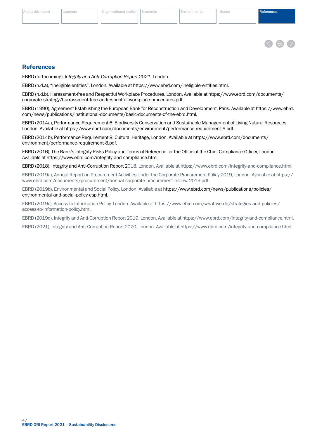

#### <span id="page-48-0"></span>**References**

EBRD (forthcoming), I*ntegrity and Anti-Corruption Report 2021*, London.

EBRD (n.d.a), "Ineligible entities", London. Available at [https://www.ebrd.com/ineligible-entities.html.](https://www.ebrd.com/ineligible-entities.html)

EBRD (n.d.b), Harassment-free and Respectful Workplace Procedures, London. Available at [https://www.ebrd.com/documents/](https://www.ebrd.com/documents/corporate-strategy/harrassment-free-andrespectful-workplace-procedures.pdf) [corporate-strategy/harrassment-free-andrespectful-workplace-procedures.pdf](https://www.ebrd.com/documents/corporate-strategy/harrassment-free-andrespectful-workplace-procedures.pdf).

EBRD (1990), Agreement Establishing the European Bank for Reconstruction and Development, Paris. Available at [https://www.ebrd.](https://www.ebrd.com/news/publications/institutional-documents/basic-documents-of-the-ebrd.html) [com/news/publications/institutional-documents/basic-documents-of-the-ebrd.html.](https://www.ebrd.com/news/publications/institutional-documents/basic-documents-of-the-ebrd.html)

EBRD (2014a), Performance Requirement 6: Biodiversity Conservation and Sustainable Management of Living Natural Resources, London. Available at [https://www.ebrd.com/documents/environment/performance-requirement-6.pdf.](https://www.ebrd.com/documents/environment/performance-requirement-6.pdf)

EBRD (2014b), Performance Requirement 8: Cultural Heritage, London. Available at [https://www.ebrd.com/documents/](https://www.ebrd.com/documents/environment/performance-requirement-8.pdf) [environment/performance-requirement-8.pdf.](https://www.ebrd.com/documents/environment/performance-requirement-8.pdf)

EBRD (2016), The Bank's Integrity Risks Policy and Terms of Reference for the Office of the Chief Compliance Officer, London. Available at <https://www.ebrd.com/integrity-and-compliance.html>.

EBRD (2018), Integrity and Anti-Corruption Report 2018, London. Available at [https://www.ebrd.com/integrity-and-compliance.html.](https://www.ebrd.com/integrity-and-compliance.html)

EBRD (2019a), Annual Report on Procurement Activities Under the Corporate Procurement Policy 2019, London. Available at [https://](https://www.ebrd.com/documents/procurement/annual-corporate-procurement-review-2019.pdf) [www.ebrd.com/documents/procurement/annual-corporate-procurement-review-2019.pdf.](https://www.ebrd.com/documents/procurement/annual-corporate-procurement-review-2019.pdf)

EBRD (2019b), Environmental and Social Policy, London. Available at [https://www.ebrd.com/news/publications/policies/](https://www.ebrd.com/news/publications/policies/environmental-and-social-policy-esp.html) [environmental-and-social-policy-esp.html.](https://www.ebrd.com/news/publications/policies/environmental-and-social-policy-esp.html)

EBRD (2019c), Access to Information Policy, London. Available at [https://www.ebrd.com/what-we-do/strategies-and-policies/](https://www.ebrd.com/what-we-do/strategies-and-policies/access-to-information-policy.html) [access-to-information-policy.html.](https://www.ebrd.com/what-we-do/strategies-and-policies/access-to-information-policy.html)

EBRD (2019d), Integrity and Anti-Corruption Report 2019, London. Available at [https://www.ebrd.com/integrity-and-compliance.htm](https://www.ebrd.com/integrity-and-compliance.html)l.

EBRD (2021), Integrity and Anti-Corruption Report 2020, London. Available at [https://www.ebrd.com/integrity-and-compliance.html.](https://www.ebrd.com/integrity-and-compliance.html)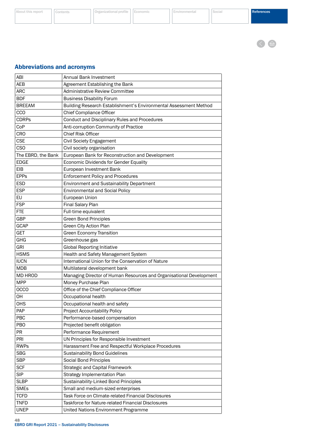< 曲

# <span id="page-49-0"></span>Abbreviations and acronyms

| ABI                | <b>Annual Bank Investment</b>                                       |
|--------------------|---------------------------------------------------------------------|
| <b>AEB</b>         | Agreement Establishing the Bank                                     |
| <b>ARC</b>         | <b>Administrative Review Committee</b>                              |
| <b>BDF</b>         | <b>Business Disability Forum</b>                                    |
| <b>BREEAM</b>      | Building Research Establishment's Environmental Assessment Method   |
| CCO                | <b>Chief Compliance Officer</b>                                     |
| <b>CDRPs</b>       | <b>Conduct and Disciplinary Rules and Procedures</b>                |
| CoP                | Anti-corruption Community of Practice                               |
| <b>CRO</b>         | <b>Chief Risk Officer</b>                                           |
| <b>CSE</b>         | <b>Civil Society Engagement</b>                                     |
| <b>CSO</b>         | Civil society organisation                                          |
| The EBRD, the Bank | European Bank for Reconstruction and Development                    |
| <b>EDGE</b>        | Economic Dividends for Gender Equality                              |
| EIB                | European Investment Bank                                            |
| <b>EPPs</b>        | <b>Enforcement Policy and Procedures</b>                            |
| <b>ESD</b>         | <b>Environment and Sustainability Department</b>                    |
| <b>ESP</b>         | <b>Environmental and Social Policy</b>                              |
| EU                 | European Union                                                      |
| <b>FSP</b>         | Final Salary Plan                                                   |
| <b>FTE</b>         | Full-time equivalent                                                |
| GBP                | <b>Green Bond Principles</b>                                        |
| GCAP               | Green City Action Plan                                              |
| <b>GET</b>         | <b>Green Economy Transition</b>                                     |
| GHG                | Greenhouse gas                                                      |
| <b>GRI</b>         | <b>Global Reporting Initiative</b>                                  |
| <b>HSMS</b>        | Health and Safety Management System                                 |
| <b>IUCN</b>        | International Union for the Conservation of Nature                  |
| <b>MDB</b>         | Multilateral development bank                                       |
| <b>MD HROD</b>     | Managing Director of Human Resources and Organisational Development |
| <b>MPP</b>         | Money Purchase Plan                                                 |
| <b>OCCO</b>        | Office of the Chief Compliance Officer                              |
| OH                 | Occupational health                                                 |
| <b>OHS</b>         | Occupational health and safety                                      |
| PAP                | <b>Project Accountability Policy</b>                                |
| <b>PBC</b>         | Performance-based compensation                                      |
| PBO                | Projected benefit obligation                                        |
| <b>PR</b>          | Performance Requirement                                             |
| PRI                | UN Principles for Responsible Investment                            |
| <b>RWPs</b>        | Harassment Free and Respectful Workplace Procedures                 |
| <b>SBG</b>         | <b>Sustainability Bond Guidelines</b>                               |
| <b>SBP</b>         | Social Bond Principles                                              |
| <b>SCF</b>         | <b>Strategic and Capital Framework</b>                              |
| <b>SIP</b>         | <b>Strategy Implementation Plan</b>                                 |
| <b>SLBP</b>        | Sustainability-Linked Bond Principles                               |
| <b>SMEs</b>        | Small and medium-sized enterprises                                  |
| <b>TCFD</b>        | Task Force on Climate-related Financial Disclosures                 |
| <b>TNFD</b>        | Taskforce for Nature-related Financial Disclosures                  |
| <b>UNEP</b>        | United Nations Environment Programme                                |